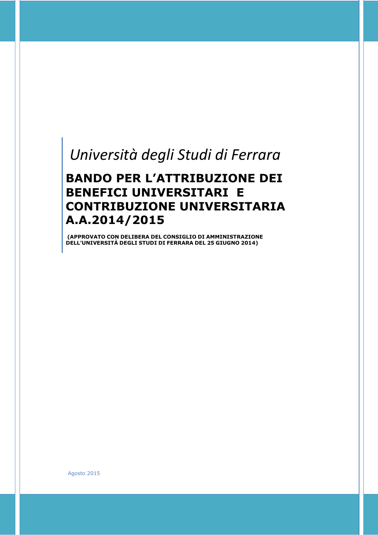# *Università degli Studi di Ferrara*

# **BANDO PER L'ATTRIBUZIONE DEI BENEFICI UNIVERSITARI E CONTRIBUZIONE UNIVERSITARIA A.A.2014/2015**

**(APPROVATO CON DELIBERA DEL CONSIGLIO DI AMMINISTRAZIONE DELL'UNIVERSITÀ DEGLI STUDI DI FERRARA DEL 25 GIUGNO 2014)**

Agosto 2015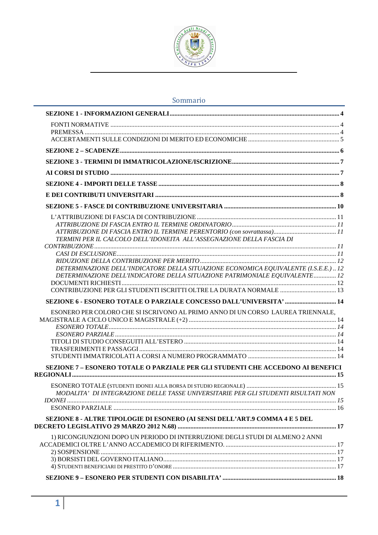

# Sommario

| TERMINI PER IL CALCOLO DELL'IDONEITA ALL'ASSEGNAZIONE DELLA FASCIA DI               |  |
|-------------------------------------------------------------------------------------|--|
|                                                                                     |  |
|                                                                                     |  |
| DETERMINAZIONE DELL'INDICATORE DELLA SITUAZIONE ECONOMICA EQUIVALENTE (I.S.E.E.) 12 |  |
| DETERMINAZIONE DELL'INDICATORE DELLA SITUAZIONE PATRIMONIALE EQUIVALENTE 12         |  |
|                                                                                     |  |
|                                                                                     |  |
| SEZIONE 6 - ESONERO TOTALE O PARZIALE CONCESSO DALL'UNIVERSITA'  14                 |  |
| ESONERO PER COLORO CHE SI ISCRIVONO AL PRIMO ANNO DI UN CORSO LAUREA TRIENNALE,     |  |
|                                                                                     |  |
|                                                                                     |  |
|                                                                                     |  |
|                                                                                     |  |
|                                                                                     |  |
|                                                                                     |  |
| SEZIONE 7 - ESONERO TOTALE O PARZIALE PER GLI STUDENTI CHE ACCEDONO AI BENEFICI     |  |
|                                                                                     |  |
| MODALITA' DI INTEGRAZIONE DELLE TASSE UNIVERSITARIE PER GLI STUDENTI RISULTATI NON  |  |
|                                                                                     |  |
|                                                                                     |  |
| SEZIONE 8 - ALTRE TIPOLOGIE DI ESONERO (AI SENSI DELL'ART.9 COMMA 4 E 5 DEL         |  |
|                                                                                     |  |
| 1) RICONGIUNZIONI DOPO UN PERIODO DI INTERRUZIONE DEGLI STUDI DI ALMENO 2 ANNI      |  |
|                                                                                     |  |
|                                                                                     |  |
|                                                                                     |  |
|                                                                                     |  |
|                                                                                     |  |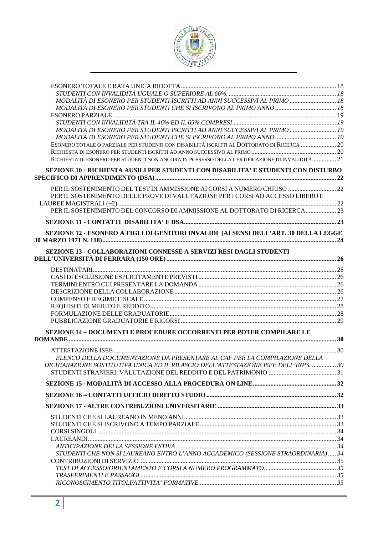

| MODALITÀ DI ESONERO PER STUDENTI ISCRITTI AD ANNI SUCCESSIVI AL PRIMO  18                      |  |
|------------------------------------------------------------------------------------------------|--|
|                                                                                                |  |
|                                                                                                |  |
| MODALITÀ DI ESONERO PER STUDENTI ISCRITTI AD ANNI SUCCESSIVI AL PRIMO  19                      |  |
|                                                                                                |  |
| ESONERO TOTALE O PARZIALE PER STUDENTI CON DISABILITÀ ISCRITTI AL DOTTORATO DI RICERCA  20     |  |
|                                                                                                |  |
| RICHIESTA DI ESONERO PER STUDENTI NON ANCORA IN POSSESSO DELLA CERTIFICAZIONE DI INVALIDITÀ 21 |  |
| SEZIONE 10 - RICHIESTA AUSILI PER STUDENTI CON DISABILITA' E STUDENTI CON DISTURBO             |  |
| PER IL SOSTENIMENTO DEL TEST DI AMMISSIONE AI CORSI A NUMERO CHIUSO  22                        |  |
| PER IL SOSTENIMENTO DELLE PROVE DI VALUTAZIONE PER I CORSI AD ACCESSO LIBERO E                 |  |
| PER IL SOSTENIMENTO DEL CONCORSO DI AMMISSIONE AL DOTTORATO DI RICERCA  23                     |  |
|                                                                                                |  |
| SEZIONE 12 - ESONERO A FIGLI DI GENITORI INVALIDI (AI SENSI DELL'ART. 30 DELLA LEGGE           |  |
|                                                                                                |  |
| SEZIONE 13 - COLLABORAZIONI CONNESSE A SERVIZI RESI DAGLI STUDENTI                             |  |
|                                                                                                |  |
|                                                                                                |  |
|                                                                                                |  |
|                                                                                                |  |
|                                                                                                |  |
|                                                                                                |  |
|                                                                                                |  |
|                                                                                                |  |
| <b>SEZIONE 14 - DOCUMENTI E PROCEDURE OCCORRENTI PER POTER COMPILARE LE</b>                    |  |
|                                                                                                |  |
|                                                                                                |  |
| ELENCO DELLA DOCUMENTAZIONE DA PRESENTARE AL CAF PER LA COMPILAZIONE DELLA                     |  |
| DICHIARAZIONE SOSTITUTIVA UNICA ED IL RILASCIO DELL'ATTESTAZIONE ISEE DELL'INPS.  30           |  |
|                                                                                                |  |
|                                                                                                |  |
|                                                                                                |  |
|                                                                                                |  |
|                                                                                                |  |
|                                                                                                |  |
|                                                                                                |  |
|                                                                                                |  |
|                                                                                                |  |
| STUDENTI CHE NON SI LAUREANO ENTRO L'ANNO ACCADEMICO (SESSIONE STRAORDINARIA) 34               |  |
|                                                                                                |  |
|                                                                                                |  |
|                                                                                                |  |
|                                                                                                |  |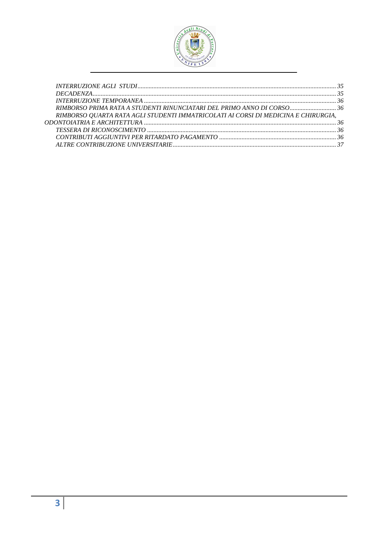

| RIMBORSO QUARTA RATA AGLI STUDENTI IMMATRICOLATI AI CORSI DI MEDICINA E CHIRURGIA, |  |
|------------------------------------------------------------------------------------|--|
|                                                                                    |  |
|                                                                                    |  |
|                                                                                    |  |
|                                                                                    |  |
|                                                                                    |  |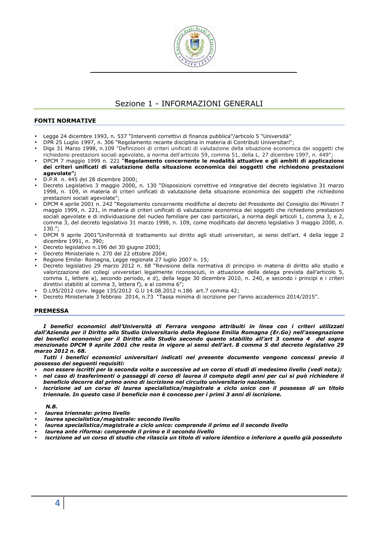

# Sezione 1 - INFORMAZIONI GENERALI

# **FONTI NORMATIVE**

- Legge 24 dicembre 1993, n. 537 "Interventi correttivi di finanza pubblica"/articolo 5 "Università"
- DPR 25 Luglio 1997, n. 306 "Regolamento recante disciplina in materia di Contributi Universitari";
- Dlgs 31 Marzo 1998, n.109 "Definizioni di criteri unificati di valutazione della situazione economica dei soggetti che richiedono prestazioni sociali agevolate, a norma dell'articolo 59, comma 51, della L. 27 dicembre 1997, n. 449";
- DPCM 7 maggio 1999 n. 221 "**Regolamento concernente le modalità attuative e gli ambiti di applicazione dei criteri unificati di valutazione della situazione economica dei soggetti che richiedono prestazioni agevolate";**
- D.P.R n. 445 del 28 dicembre 2000;
- Decreto Legislativo 3 maggio 2000, n. 130 "Disposizioni correttive ed integrative del decreto legislativo 31 marzo 1998, n. 109, in materia di criteri unificati di valutazione della situazione economica dei soggetti che richiedono prestazioni sociali agevolate";
- DPCM 4 aprile 2001 n. 242 "Regolamento concernente modifiche al decreto del Presidente del Consiglio dei Ministri 7 maggio 1999, n. 221, in materia di criteri unificati di valutazione economica dei soggetti che richiedono prestazioni sociali agevolate e di individuazione del nucleo familiare per casi particolari, a norma degli articoli 1, comma 3, e 2, comma 3, del decreto legislativo 31 marzo 1998, n. 109, come modificato dal decreto legislativo 3 maggio 2000, n. 130.";
- DPCM 9 aprile 2001"Uniformità di trattamento sul diritto agli studi universitari, ai sensi dell'art. 4 della legge 2 dicembre 1991, n. 390;
- Decreto legislativo n.196 del 30 giugno 2003;
- Decreto Ministeriale n. 270 del 22 ottobre 2004;
- Regione Emilia- Romagna, Legge regionale 27 luglio 2007 n. 15;
- Decreto legislativo 29 marzo 2012 n. 68 "Revisione della normativa di principio in materia di diritto allo studio e valorizzazione dei collegi universitari legalmente riconosciuti, in attuazione della delega prevista dall'articolo 5, comma 1, lettere a), secondo periodo, e d), della legge 30 dicembre 2010, n. 240, e secondo i principi e i criteri direttivi stabiliti al comma 3, lettera f), e al comma 6";
- D.L95/2012 conv. legge 135/2012 G.U 14.08.2012 n.186 art.7 comma 42;
- Decreto Ministeriale 3 febbraio 2014, n.73 "Tassa minima di iscrizione per l'anno accademico 2014/2015".

#### **PREMESSA**

*I benefici economici dell'Università di Ferrara vengono attribuiti in linea con i criteri utilizzati dall'Azienda per il Diritto allo Studio Universitario della Regione Emilia Romagna (Er.Go) nell'assegnazione dei benefici economici per il Diritto allo Studio secondo quanto stabilito all'art 3 comma 4 del sopra menzionato DPCM 9 aprile 2001 che resta in vigore ai sensi dell'art. 8 comma 5 del decreto legislativo 29 marzo 2012 n. 68.* 

*Tutti i benefici economici universitari indicati nel presente documento vengono concessi previo il possesso dei seguenti requisiti:* 

- *non essere iscritti per la seconda volta o successive ad un corso di studi di medesimo livello (vedi nota);*
- *nel caso di trasferimenti o passaggi di corso di laurea il computo degli anni per cui si può richiedere il beneficio decorre dal primo anno di iscrizione nel circuito universitario nazionale.*
- *iscrizione ad un corso di laurea specialistica/magistrale a ciclo unico con il possesso di un titolo triennale. In questo caso il beneficio non è concesso per i primi 3 anni di iscrizione.*

#### *N.B.*

- • *laurea triennale: primo livello*
- • *laurea specialistica/magistrale: secondo livello*
- • *laurea specialistica/magistrale a ciclo unico: comprende il primo ed il secondo livello*
- • *laurea ante riforma: comprende il primo e il secondo livello*
- • *iscrizione ad un corso di studio che rilascia un titolo di valore identico o inferiore a quello già posseduto*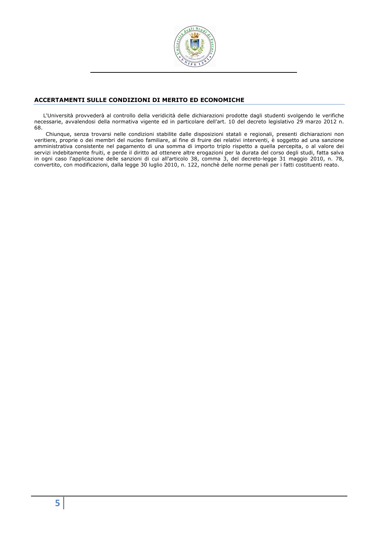

# **ACCERTAMENTI SULLE CONDIZIONI DI MERITO ED ECONOMICHE**

L'Università provvederà al controllo della veridicità delle dichiarazioni prodotte dagli studenti svolgendo le verifiche necessarie, avvalendosi della normativa vigente ed in particolare dell'art. 10 del decreto legislativo 29 marzo 2012 n. 68.

Chiunque, senza trovarsi nelle condizioni stabilite dalle disposizioni statali e regionali, presenti dichiarazioni non veritiere, proprie o dei membri del nucleo familiare, al fine di fruire dei relativi interventi, è soggetto ad una sanzione amministrativa consistente nel pagamento di una somma di importo triplo rispetto a quella percepita, o al valore dei servizi indebitamente fruiti, e perde il diritto ad ottenere altre erogazioni per la durata del corso degli studi, fatta salva in ogni caso l'applicazione delle sanzioni di cui all'articolo 38, comma 3, del decreto-legge 31 maggio 2010, n. 78, convertito, con modificazioni, dalla legge 30 luglio 2010, n. 122, nonchè delle norme penali per i fatti costituenti reato.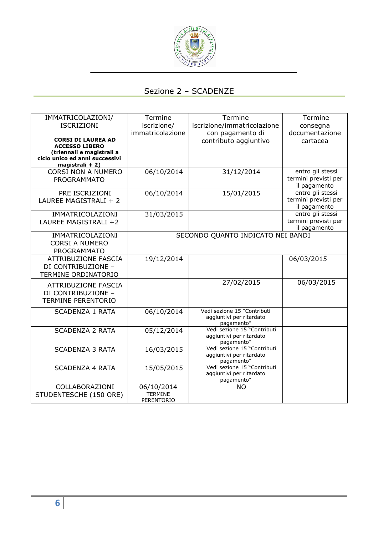

# Sezione 2 – SCADENZE

| IMMATRICOLAZIONI/<br><b>ISCRIZIONI</b><br><b>CORSI DI LAUREA AD</b><br><b>ACCESSO LIBERO</b><br>(triennali e magistrali a | Termine<br>iscrizione/<br>immatricolazione | Termine<br>iscrizione/immatricolazione<br>con pagamento di<br>contributo aggiuntivo | Termine<br>consegna<br>documentazione<br>cartacea        |
|---------------------------------------------------------------------------------------------------------------------------|--------------------------------------------|-------------------------------------------------------------------------------------|----------------------------------------------------------|
| ciclo unico ed anni successivi<br>magistrali + 2)                                                                         |                                            |                                                                                     |                                                          |
| <b>CORSI NON A NUMERO</b><br><b>PROGRAMMATO</b>                                                                           | 06/10/2014                                 | 31/12/2014                                                                          | entro gli stessi<br>termini previsti per<br>il pagamento |
| PRE ISCRIZIONI<br>LAUREE MAGISTRALI + 2                                                                                   | 06/10/2014                                 | 15/01/2015                                                                          | entro gli stessi<br>termini previsti per<br>il pagamento |
| IMMATRICOLAZIONI<br>LAUREE MAGISTRALI +2                                                                                  | 31/03/2015                                 |                                                                                     | entro gli stessi<br>termini previsti per<br>il pagamento |
| IMMATRICOLAZIONI<br><b>CORSI A NUMERO</b><br><b>PROGRAMMATO</b>                                                           |                                            | SECONDO QUANTO INDICATO NEI BANDI                                                   |                                                          |
| <b>ATTRIBUZIONE FASCIA</b><br>DI CONTRIBUZIONE -<br>TERMINE ORDINATORIO                                                   | 19/12/2014                                 |                                                                                     | 06/03/2015                                               |
| <b>ATTRIBUZIONE FASCIA</b><br>DI CONTRIBUZIONE -<br><b>TERMINE PERENTORIO</b>                                             |                                            | 27/02/2015                                                                          | 06/03/2015                                               |
| <b>SCADENZA 1 RATA</b>                                                                                                    | 06/10/2014                                 | Vedi sezione 15 "Contributi<br>aggiuntivi per ritardato<br>pagamento"               |                                                          |
| <b>SCADENZA 2 RATA</b>                                                                                                    | 05/12/2014                                 | Vedi sezione 15 "Contributi<br>aggiuntivi per ritardato<br>pagamento"               |                                                          |
| <b>SCADENZA 3 RATA</b>                                                                                                    | 16/03/2015                                 | Vedi sezione 15 "Contributi<br>aggiuntivi per ritardato<br>pagamento"               |                                                          |
| <b>SCADENZA 4 RATA</b>                                                                                                    | 15/05/2015                                 | Vedi sezione 15 "Contributi<br>aggiuntivi per ritardato<br>pagamento"               |                                                          |
| COLLABORAZIONI<br>STUDENTESCHE (150 ORE)                                                                                  | 06/10/2014<br><b>TERMINE</b><br>PERENTORIO | <b>NO</b>                                                                           |                                                          |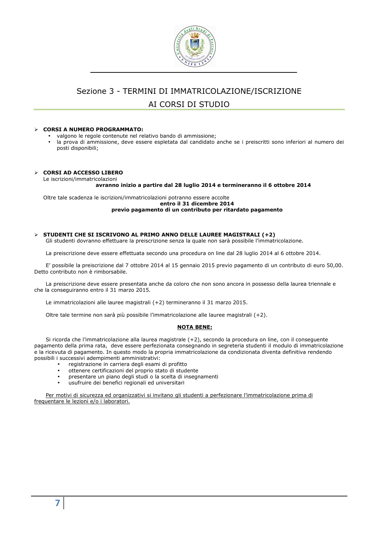

# Sezione 3 - TERMINI DI IMMATRICOLAZIONE/ISCRIZIONE AI CORSI DI STUDIO

### **CORSI A NUMERO PROGRAMMATO:**

- valgono le regole contenute nel relativo bando di ammissione;
- la prova di ammissione, deve essere espletata dal candidato anche se i preiscritti sono inferiori al numero dei posti disponibili;

#### **CORSI AD ACCESSO LIBERO**

Le iscrizioni/immatricolazioni

#### **avranno inizio a partire dal 28 luglio 2014 e termineranno il 6 ottobre 2014**

Oltre tale scadenza le iscrizioni/immatricolazioni potranno essere accolte **entro il 31 dicembre 2014 previo pagamento di un contributo per ritardato pagamento** 

# **STUDENTI CHE SI ISCRIVONO AL PRIMO ANNO DELLE LAUREE MAGISTRALI (+2)**

Gli studenti dovranno effettuare la preiscrizione senza la quale non sarà possibile l'immatricolazione.

La preiscrizione deve essere effettuata secondo una procedura on line dal 28 luglio 2014 al 6 ottobre 2014.

E' possibile la preiscrizione dal 7 ottobre 2014 al 15 gennaio 2015 previo pagamento di un contributo di euro 50,00. Detto contributo non è rimborsabile.

La preiscrizione deve essere presentata anche da coloro che non sono ancora in possesso della laurea triennale e che la conseguiranno entro il 31 marzo 2015.

Le immatricolazioni alle lauree magistrali (+2) termineranno il 31 marzo 2015.

Oltre tale termine non sarà più possibile l'immatricolazione alle lauree magistrali (+2).

#### **NOTA BENE:**

Si ricorda che l'immatricolazione alla laurea magistrale (+2), secondo la procedura on line, con il conseguente pagamento della prima rata, deve essere perfezionata consegnando in segreteria studenti il modulo di immatricolazione e la ricevuta di pagamento. In questo modo la propria immatricolazione da condizionata diventa definitiva rendendo possibili i successivi adempimenti amministrativi:

- registrazione in carriera degli esami di profitto
- ottenere certificazioni del proprio stato di studente
- presentare un piano degli studi o la scelta di insegnamenti
- usufruire dei benefici regionali ed universitari

Per motivi di sicurezza ed organizzativi si invitano gli studenti a perfezionare l'immatricolazione prima di frequentare le lezioni e/o i laboratori.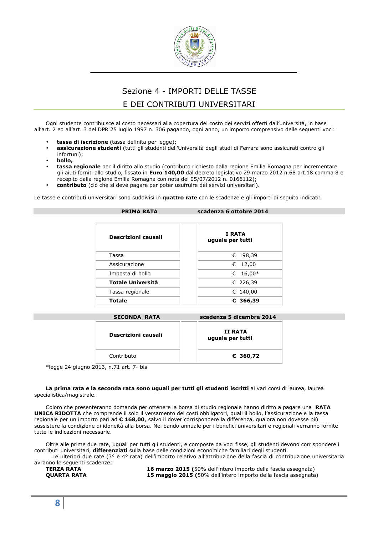

# Sezione 4 - IMPORTI DELLE TASSE

# E DEI CONTRIBUTI UNIVERSITARI

Ogni studente contribuisce al costo necessari alla copertura del costo dei servizi offerti dall'università, in base all'art. 2 ed all'art. 3 del DPR 25 luglio 1997 n. 306 pagando, ogni anno, un importo comprensivo delle seguenti voci:

- **tassa di iscrizione** (tassa definita per legge);
- **assicurazione studenti** (tutti gli studenti dell'Università degli studi di Ferrara sono assicurati contro gli infortuni);
- **bollo,**
- **tassa regionale** per il diritto allo studio (contributo richiesto dalla regione Emilia Romagna per incrementare gli aiuti forniti allo studio, fissato in **Euro 140,00** dal decreto legislativo 29 marzo 2012 n.68 art.18 comma 8 e recepito dalla regione Emilia Romagna con nota del 05/07/2012 n. 0166112);
- **contributo** (ciò che si deve pagare per poter usufruire dei servizi universitari).

Le tasse e contributi universitari sono suddivisi in **quattro rate** con le scadenze e gli importi di seguito indicati:

| <b>PRIMA RATA</b>          | scadenza 6 ottobre 2014    |  |
|----------------------------|----------------------------|--|
| <b>Descrizioni causali</b> | I RATA<br>uguale per tutti |  |
| Tassa                      | € 198,39                   |  |
| Assicurazione              | € 12,00                    |  |
| Imposta di bollo           | $16,00*$<br>€              |  |
| <b>Totale Università</b>   | € 226,39                   |  |
| Tassa regionale            | € 140,00                   |  |
| Totale                     | $C$ 366,39                 |  |

| <b>SECONDA RATA</b> | scadenza 5 dicembre 2014    |  |
|---------------------|-----------------------------|--|
| Descrizioni causali | II RATA<br>uguale per tutti |  |
| Contributo          | € 360,72                    |  |

\*legge 24 giugno 2013, n.71 art. 7- bis

**La prima rata e la seconda rata sono uguali per tutti gli studenti iscritti** ai vari corsi di laurea, laurea specialistica/magistrale.

Coloro che presenteranno domanda per ottenere la borsa di studio regionale hanno diritto a pagare una **RATA UNICA RIDOTTA** che comprende il solo il versamento dei costi obbligatori, quali il bollo, l'assicurazione e la tassa regionale per un importo pari ad **€ 168,00**, salvo il dover corrispondere la differenza, qualora non dovesse più sussistere la condizione di idoneità alla borsa. Nel bando annuale per i benefici universitari e regionali verranno fornite tutte le indicazioni necessarie.

Oltre alle prime due rate, uguali per tutti gli studenti, e composte da voci fisse, gli studenti devono corrispondere i contributi universitari, **differenziati** sulla base delle condizioni economiche familiari degli studenti. Le ulteriori due rate (3° e 4° rata) dell'importo relativo all'attribuzione della fascia di contribuzione universitaria

avranno le seguenti scadenze:<br>
TERZA RATA

**TERZA RATA** 16 marzo 2015 (50% dell'intero importo della fascia assegnata)<br> **15 maggio 2015 (50% dell'intero importo della fascia assegnata)** 15 maggio 2015 (50% dell'intero importo della fascia assegnata)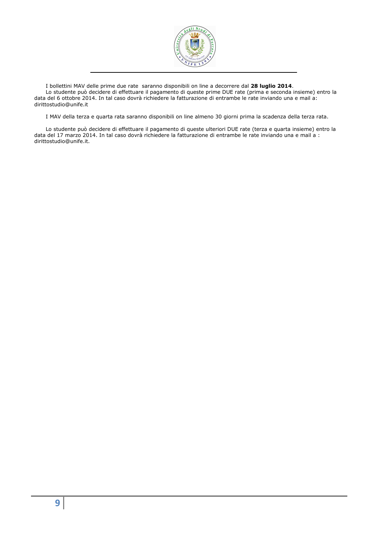

I bollettini MAV delle prime due rate saranno disponibili on line a decorrere dal **28 luglio 2014**.

Lo studente può decidere di effettuare il pagamento di queste prime DUE rate (prima e seconda insieme) entro la data del 6 ottobre 2014. In tal caso dovrà richiedere la fatturazione di entrambe le rate inviando una e mail a: dirittostudio@unife.it

I MAV della terza e quarta rata saranno disponibili on line almeno 30 giorni prima la scadenza della terza rata.

Lo studente può decidere di effettuare il pagamento di queste ulteriori DUE rate (terza e quarta insieme) entro la data del 17 marzo 2014. In tal caso dovrà richiedere la fatturazione di entrambe le rate inviando una e mail a : dirittostudio@unife.it.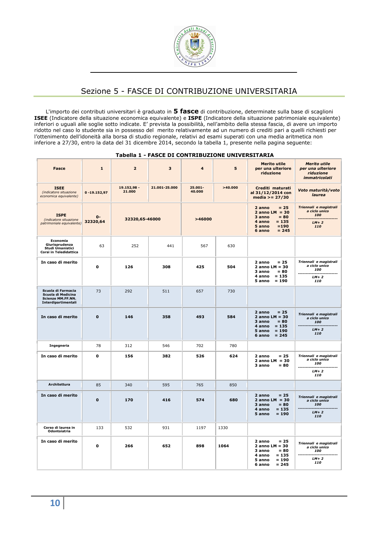

# Sezione 5 - FASCE DI CONTRIBUZIONE UNIVERSITARIA

L'importo dei contributi universitari è graduato in **5 fasce** di contribuzione, determinate sulla base di scaglioni **ISEE** (Indicatore della situazione economica equivalente) e **ISPE** (Indicatore della situazione patrimoniale equivalente) inferiori o uguali alle soglie sotto indicate. E' prevista la possibilità, nell'ambito della stessa fascia, di avere un importo ridotto nel caso lo studente sia in possesso del merito relativamente ad un numero di crediti pari a quelli richiesti per l'ottenimento dell'idoneità alla borsa di studio regionale, relativi ad esami superati con una media aritmetica non inferiore a 27/30, entro la data del 31 dicembre 2014, secondo la tabella 1, presente nella pagina seguente:

|                                                                                             |                   |                       | Tabella 1 - FASCE DI CONTRIBUZIONE UNIVERSITARIA |                      |         |                                                                                                                         |                                                                               |
|---------------------------------------------------------------------------------------------|-------------------|-----------------------|--------------------------------------------------|----------------------|---------|-------------------------------------------------------------------------------------------------------------------------|-------------------------------------------------------------------------------|
| <b>Fasce</b>                                                                                | $\mathbf{1}$      | $\overline{2}$        | 3                                                | 4                    | 5       | <b>Merito utile</b><br>per una ulteriore<br>riduzione                                                                   | <b>Merito utile</b><br>per una ulteriore<br>riduzione<br><i>immatricolati</i> |
| <b>ISEE</b><br>(indicatore situazione<br>economica equivalente)                             | $0 - 19.152,97$   | 19.152,98 -<br>21.000 | 21.001-25.000                                    | $25.001 -$<br>40.000 | >40.000 | Crediti maturati<br>al 31/12/2014 con<br>media $>= 27/30$                                                               | Voto maturità/voto<br>laurea                                                  |
| <b>ISPE</b><br>(indicatore situazione<br>patrimoniale equivalente)                          | $0 -$<br>32320,64 | 32320,65-46000        |                                                  | >46000               |         | $= 25$<br>2 anno<br>$2$ anno LM = 30<br>3 anno<br>$= 80$<br>$= 135$<br>4 anno<br>5 anno<br>$= 190$<br>$= 245$<br>6 anno | Triennali e magistrali<br>a ciclo unico<br>100<br>$LM+2$<br>110               |
| Economia<br>Giurisprudenza<br>Studi Umanistici<br>Corsi in Teledidattica                    | 63                | 252                   | 441                                              | 567                  | 630     |                                                                                                                         |                                                                               |
| In caso di merito                                                                           | 0                 | 126                   | 308                                              | 425                  | 504     | 2 anno<br>$= 25$<br>2 anno $LM = 30$<br>3 anno<br>$= 80$<br>$= 135$<br>4 anno<br>$5$ anno = 190                         | Triennali e magistrali<br>a ciclo unico<br>100<br>$LM+2$<br>110               |
| Scuola di Farmacia<br>Scuola di Medicina<br><b>Scienze MM.FF.NN.</b><br>Interdipartimentali | 73                | 292                   | 511                                              | 657                  | 730     |                                                                                                                         |                                                                               |
| In caso di merito                                                                           | $\mathbf{o}$      | 146                   | 358                                              | 493                  | 584     | $= 25$<br>2 anno<br>2 anno LM = $30$<br>3 anno<br>$= 80$<br>4 anno<br>$= 135$<br>5 anno<br>$= 190$<br>$= 245$<br>6 anno | Triennali e magistrali<br>a ciclo unico<br>100<br>$LM+2$<br>110               |
| Ingegneria                                                                                  | 78                | 312                   | 546                                              | 702                  | 780     |                                                                                                                         |                                                                               |
| In caso di merito                                                                           | 0                 | 156                   | 382                                              | 526                  | 624     | 2 anno<br>$= 25$<br>$2$ anno LM = 30<br>3 anno<br>$= 80$                                                                | Triennali e magistrali<br>a ciclo unico<br>100<br>$LM+2$<br>110               |
| <b>Architettura</b>                                                                         | 85                | 340                   | 595                                              | 765                  | 850     |                                                                                                                         |                                                                               |
| In caso di merito                                                                           | $\mathbf{0}$      | 170                   | 416                                              | 574                  | 680     | $= 25$<br>2 anno<br>2 anno $LM = 30$<br>$= 80$<br>3 anno<br>$= 135$<br>4 anno<br>$= 190$<br>5 anno                      | Triennali e magistrali<br>a ciclo unico<br>100<br>$LM+2$<br>110               |
| Corso di laurea in<br>Odontoiatria                                                          | 133               | 532                   | 931                                              | 1197                 | 1330    |                                                                                                                         |                                                                               |
| In caso di merito                                                                           | $\mathbf 0$       | 266                   | 652                                              | 898                  | 1064    | $= 25$<br>2 anno<br>2 anno $LM = 30$<br>3 anno<br>$= 80$<br>$= 135$<br>4 anno<br>$= 190$<br>5 anno<br>$= 245$<br>6 anno | Triennali e magistrali<br>a ciclo unico<br>100<br>$LM+2$<br>110               |

**Tabella 1 - FASCE DI CONTRIBUZIONE UNIVERSITARIA**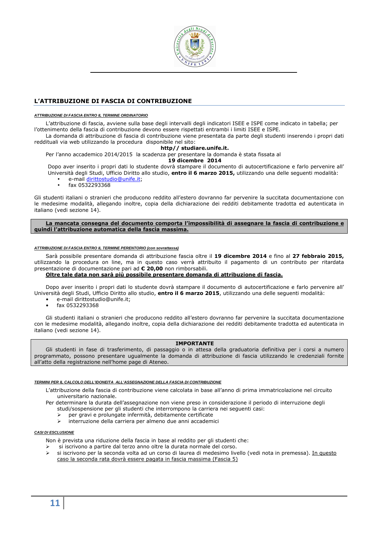

# **L'ATTRIBUZIONE DI FASCIA DI CONTRIBUZIONE**

#### **ATTRIBUZIONE DI FASCIA ENTRO IL TERMINE ORDINATORIO**

L'attribuzione di fascia, avviene sulla base degli intervalli degli indicatori ISEE e ISPE come indicato in tabella; per l'ottenimento della fascia di contribuzione devono essere rispettati entrambi i limiti ISEE e ISPE.

La domanda di attribuzione di fascia di contribuzione viene presentata da parte degli studenti inserendo i propri dati reddituali via web utilizzando la procedura disponibile nel sito:

#### **http// studiare.unife.it.**

Per l'anno accademico 2014/2015 la scadenza per presentare la domanda è stata fissata al

# **19 dicembre 2014**

Dopo aver inserito i propri dati lo studente dovrà stampare il documento di autocertificazione e farlo pervenire all' Università degli Studi, Ufficio Diritto allo studio, **entro il 6 marzo 2015,** utilizzando una delle seguenti modalità:

- e-mail dirittostudio@unife.it;
- fax 0532293368

Gli studenti italiani o stranieri che producono reddito all'estero dovranno far pervenire la succitata documentazione con le medesime modalità, allegando inoltre, copia della dichiarazione dei redditi debitamente tradotta ed autenticata in italiano (vedi sezione 14).

**La mancata consegna del documento comporta l'impossibilità di assegnare la fascia di contribuzione e quindi l'attribuzione automatica della fascia massima.** 

#### **ATTRIBUZIONE DI FASCIA ENTRO IL TERMINE PERENTORIO (con sovrattassa)**

Sarà possibile presentare domanda di attribuzione fascia oltre il **19 dicembre 2014** e fino al **27 febbraio 2015,**  utilizzando la procedura on line, ma in questo caso verrà attribuito il pagamento di un contributo per ritardata presentazione di documentazione pari ad **€ 20,00** non rimborsabili.

# **Oltre tale data non sarà più possibile presentare domanda di attribuzione di fascia.**

Dopo aver inserito i propri dati lo studente dovrà stampare il documento di autocertificazione e farlo pervenire all' Università degli Studi, Ufficio Diritto allo studio, **entro il 6 marzo 2015**, utilizzando una delle seguenti modalità:

- e-mail dirittostudio@unife.it;
- fax 0532293368

Gli studenti italiani o stranieri che producono reddito all'estero dovranno far pervenire la succitata documentazione con le medesime modalità, allegando inoltre, copia della dichiarazione dei redditi debitamente tradotta ed autenticata in italiano (vedi sezione 14).

### **IMPORTANTE**

Gli studenti in fase di trasferimento, di passaggio o in attesa della graduatoria definitiva per i corsi a numero programmato, possono presentare ugualmente la domanda di attribuzione di fascia utilizzando le credenziali fornite all'atto della registrazione nell'home page di Ateneo.

#### **TERMINI PER IL CALCOLO DELL'IDONEITA ALL'ASSEGNAZIONE DELLA FASCIA DI CONTRIBUZIONE**

L'attribuzione della fascia di contribuzione viene calcolata in base all'anno di prima immatricolazione nel circuito universitario nazionale.

Per determinare la durata dell'assegnazione non viene preso in considerazione il periodo di interruzione degli studi/sospensione per gli studenti che interrompono la carriera nei seguenti casi:

- 
- per gravi e prolungate infermità, debitamente certificate<br>
> interruzione della carriera per almeno due anni accademi interruzione della carriera per almeno due anni accademici

#### **CASI DI ESCLUSIONE**

Non è prevista una riduzione della fascia in base al reddito per gli studenti che:

- si iscrivono a partire dal terzo anno oltre la durata normale del corso.
- si iscrivono per la seconda volta ad un corso di laurea di medesimo livello (vedi nota in premessa). In questo caso la seconda rata dovrà essere pagata in fascia massima (Fascia 5)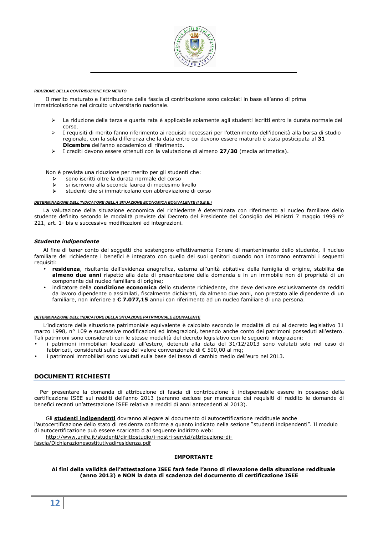

#### **RIDUZIONE DELLA CONTRIBUZIONE PER MERITO**

Il merito maturato e l'attribuzione della fascia di contribuzione sono calcolati in base all'anno di prima immatricolazione nel circuito universitario nazionale.

- La riduzione della terza e quarta rata è applicabile solamente agli studenti iscritti entro la durata normale del corso.
- I requisiti di merito fanno riferimento ai requisiti necessari per l'ottenimento dell'idoneità alla borsa di studio regionale, con la sola differenza che la data entro cui devono essere maturati è stata posticipata al **31 Dicembre** dell'anno accademico di riferimento.
- I crediti devono essere ottenuti con la valutazione di almeno **27/30** (media aritmetica).

Non è prevista una riduzione per merito per gli studenti che:

- sono iscritti oltre la durata normale del corso
- $\triangleright$  si iscrivono alla seconda laurea di medesimo livello<br>studenti che si immatricolano con abbreviazione di
- studenti che si immatricolano con abbreviazione di corso

#### **DETERMINAZIONE DELL'INDICATORE DELLA SITUAZIONE ECONOMICA EQUIVALENTE (I.S.E.E.)**

La valutazione della situazione economica del richiedente è determinata con riferimento al nucleo familiare dello studente definito secondo le modalità previste dal Decreto del Presidente del Consiglio dei Ministri 7 maggio 1999 nº 221, art. 1- bis e successive modificazioni ed integrazioni.

#### *Studente indipendente*

Al fine di tener conto dei soggetti che sostengono effettivamente l'onere di mantenimento dello studente, il nucleo familiare del richiedente i benefici è integrato con quello dei suoi genitori quando non incorrano entrambi i seguenti requisiti:

- **residenza**, risultante dall'evidenza anagrafica, esterna all'unità abitativa della famiglia di origine, stabilita **da almeno due anni** rispetto alla data di presentazione della domanda e in un immobile non di proprietà di un componente del nucleo familiare di origine;
- indicatore della **condizione economica** dello studente richiedente, che deve derivare esclusivamente da redditi da lavoro dipendente o assimilati, fiscalmente dichiarati, da almeno due anni, non prestato alle dipendenze di un familiare, non inferiore a **€ 7.077,15** annui con riferimento ad un nucleo familiare di una persona.

#### **DETERMINAZIONE DELL'INDICATORE DELLA SITUAZIONE PATRIMONIALE EQUIVALENTE**

L'indicatore della situazione patrimoniale equivalente è calcolato secondo le modalità di cui al decreto legislativo 31 marzo 1998, n° 109 e successive modificazioni ed integrazioni, tenendo anche conto dei patrimoni posseduti all'estero. Tali patrimoni sono considerati con le stesse modalità del decreto legislativo con le seguenti integrazioni:

- i patrimoni immobiliari localizzati all'estero, detenuti alla data del 31/12/2013 sono valutati solo nel caso di fabbricati, considerati sulla base del valore convenzionale di € 500,00 al mq;
- i patrimoni immobiliari sono valutati sulla base del tasso di cambio medio dell'euro nel 2013.

# **DOCUMENTI RICHIESTI**

Per presentare la domanda di attribuzione di fascia di contribuzione è indispensabile essere in possesso della certificazione ISEE sui redditi dell'anno 2013 (saranno escluse per mancanza dei requisiti di reddito le domande di benefici recanti un'attestazione ISEE relativa a redditi di anni antecedenti al 2013).

Gli **studenti indipendenti** dovranno allegare al documento di autocertificazione reddituale anche

l'autocertificazione dello stato di residenza conforme a quanto indicato nella sezione "studenti indipendenti". Il modulo di autocertificazione può essere scaricato d al seguente indirizzo web:

http://www.unife.it/studenti/dirittostudio/i-nostri-servizi/attribuzione-di-

fascia/Dichiarazionesostitutivadiresidenza.pdf

#### **IMPORTANTE**

#### **Ai fini della validità dell'attestazione ISEE farà fede l'anno di rilevazione della situazione reddituale (anno 2013) e NON la data di scadenza del documento di certificazione ISEE**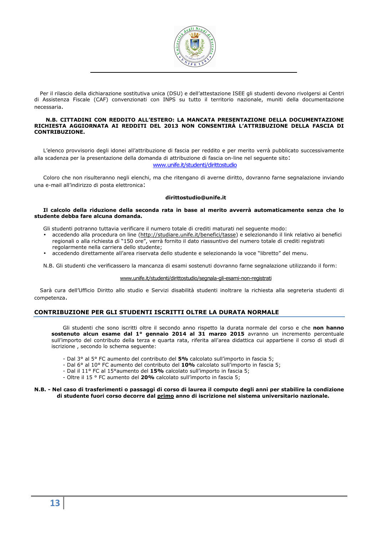

Per il rilascio della dichiarazione sostitutiva unica (DSU) e dell'attestazione ISEE gli studenti devono rivolgersi ai Centri di Assistenza Fiscale (CAF) convenzionati con INPS su tutto il territorio nazionale, muniti della documentazione necessaria.

#### **N.B. CITTADINI CON REDDITO ALL'ESTERO: LA MANCATA PRESENTAZIONE DELLA DOCUMENTAZIONE RICHIESTA AGGIORNATA AI REDDITI DEL 2013 NON CONSENTIRÀ L'ATTRIBUZIONE DELLA FASCIA DI CONTRIBUZIONE.**

L'elenco provvisorio degli idonei all'attribuzione di fascia per reddito e per merito verrà pubblicato successivamente alla scadenza per la presentazione della domanda di attribuzione di fascia on-line nel seguente sito: www.unife.it/studenti/dirittostudio

Coloro che non risulteranno negli elenchi, ma che ritengano di averne diritto, dovranno farne segnalazione inviando una e-mail all'indirizzo di posta elettronica:

#### **dirittostudio@unife.it**

#### **Il calcolo della riduzione della seconda rata in base al merito avverrà automaticamente senza che lo studente debba fare alcuna domanda.**

Gli studenti potranno tuttavia verificare il numero totale di crediti maturati nel seguente modo:

- accedendo alla procedura on line (http://studiare.unife.it/benefici/tasse) e selezionando il link relativo ai benefici regionali o alla richiesta di "150 ore", verrà fornito il dato riassuntivo del numero totale di crediti registrati regolarmente nella carriera dello studente;
- accedendo direttamente all'area riservata dello studente e selezionando la voce "libretto" del menu.

N.B. Gli studenti che verificassero la mancanza di esami sostenuti dovranno farne segnalazione utilizzando il form:

#### www.unife.it/studenti/dirittostudio/segnala-gli-esami-non-registrati

Sarà cura dell'Ufficio Diritto allo studio e Servizi disabilità studenti inoltrare la richiesta alla segreteria studenti di competenza.

# **CONTRIBUZIONE PER GLI STUDENTI ISCRITTI OLTRE LA DURATA NORMALE**

Gli studenti che sono iscritti oltre il secondo anno rispetto la durata normale del corso e che **non hanno sostenuto alcun esame dal 1° gennaio 2014 al 31 marzo 2015** avranno un incremento percentuale sull'importo del contributo della terza e quarta rata, riferita all'area didattica cui appartiene il corso di studi di iscrizione , secondo lo schema seguente:

- Dal 3° al 5° FC aumento del contributo del **5%** calcolato sull'importo in fascia 5;
- Dal 6° al 10° FC aumento del contributo del **10%** calcolato sull'importo in fascia 5;
- Dal il 11° FC al 15°aumento del **15%** calcolato sull'importo in fascia 5;
- Oltre il 15 ° FC aumento del **20%** calcolato sull'importo in fascia 5;

#### **N.B. - Nel caso di trasferimenti o passaggi di corso di laurea il computo degli anni per stabilire la condizione di studente fuori corso decorre dal primo anno di iscrizione nel sistema universitario nazionale.**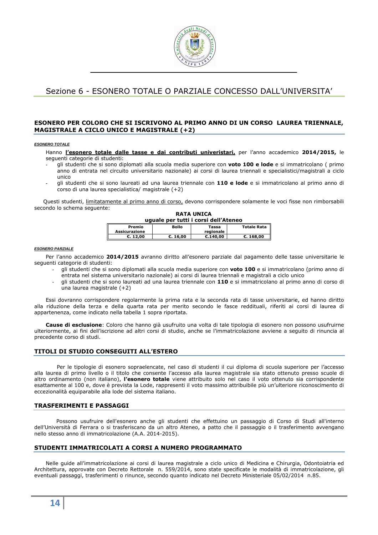

# Sezione 6 - ESONERO TOTALE O PARZIALE CONCESSO DALL'UNIVERSITA'

# **ESONERO PER COLORO CHE SI ISCRIVONO AL PRIMO ANNO DI UN CORSO LAUREA TRIENNALE, MAGISTRALE A CICLO UNICO E MAGISTRALE (+2)**

#### **ESONERO TOTALE**

Hanno **l'esonero totale dalle tasse e dai contributi univeristari,** per l'anno accademico **2014/2015,** le seguenti categorie di studenti:

- **-** gli studenti che si sono diplomati alla scuola media superiore con **voto 100 e lode** e si immatricolano ( primo anno di entrata nel circuito universitario nazionale) ai corsi di laurea triennali e specialistici/magistrali a ciclo unico
- **-** gli studenti che si sono laureati ad una laurea triennale con **110 e lode** e si immatricolano al primo anno di corso di una laurea specialistica/ magistrale (+2)

Questi studenti, limitatamente al primo anno di corso, devono corrispondere solamente le voci fisse non rimborsabili secondo lo schema seguente: **RATA UNICA** 

| uguale per tutti i corsi dell'Ateneo |              |                    |                    |
|--------------------------------------|--------------|--------------------|--------------------|
| Premio<br>Assicurazione              | <b>Bollo</b> | Tassa<br>regionale | <b>Totale Rata</b> |
| E. 12.00                             | C.16.00      | C.140.00           | E. 168.00          |

#### **ESONERO PARZIALE**

Per l'anno accademico **2014/2015** avranno diritto all'esonero parziale dal pagamento delle tasse universitarie le seguenti categorie di studenti:

- gli studenti che si sono diplomati alla scuola media superiore con **voto 100** e si immatricolano (primo anno di entrata nel sistema universitario nazionale) ai corsi di laurea triennali e magistrali a ciclo unico
- gli studenti che si sono laureati ad una laurea triennale con **110** e si immatricolano al primo anno di corso di una laurea magistrale (+2)

Essi dovranno corrispondere regolarmente la prima rata e la seconda rata di tasse universitarie, ed hanno diritto alla riduzione della terza e della quarta rata per merito secondo le fasce reddituali, riferiti ai corsi di laurea di appartenenza, come indicato nella tabella 1 sopra riportata.

**Cause di esclusione**: Coloro che hanno già usufruito una volta di tale tipologia di esonero non possono usufruirne ulteriormente, ai fini dell'iscrizione ad altri corsi di studio, anche se l'immatricolazione avviene a seguito di rinuncia al precedente corso di studi.

#### **TITOLI DI STUDIO CONSEGUITI ALL'ESTERO**

Per le tipologie di esonero sopraelencate, nel caso di studenti il cui diploma di scuola superiore per l'accesso alla laurea di primo livello o il titolo che consente l'accesso alla laurea magistrale sia stato ottenuto presso scuole di altro ordinamento (non italiano), **l'esonero totale** viene attribuito solo nel caso il voto ottenuto sia corrispondente esattamente al 100 e, dove è prevista la Lode, rappresenti il voto massimo attribuibile più un'ulteriore riconoscimento di eccezionalità equiparabile alla lode del sistema italiano.

#### **TRASFERIMENTI E PASSAGGI**

Possono usufruire dell'esonero anche gli studenti che effettuino un passaggio di Corso di Studi all'interno dell'Università di Ferrara o si trasferiscano da un altro Ateneo, a patto che il passaggio o il trasferimento avvengano nello stesso anno di immatricolazione (A.A. 2014-2015).

# **STUDENTI IMMATRICOLATI A CORSI A NUMERO PROGRAMMATO**

Nelle guide all'immatricolazione ai corsi di laurea magistrale a ciclo unico di Medicina e Chirurgia, Odontoiatria ed Architettura, approvate con Decreto Rettorale n. 559/2014, sono state specificate le modalità di immatricolazione, gli eventuali passaggi, trasferimenti o rinunce, secondo quanto indicato nel Decreto Ministeriale 05/02/2014 n.85.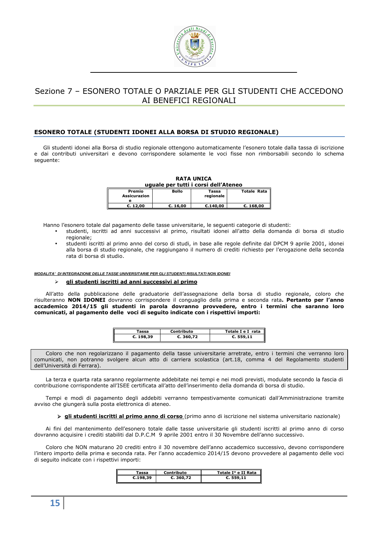

# Sezione 7 – ESONERO TOTALE O PARZIALE PER GLI STUDENTI CHE ACCEDONO AI BENEFICI REGIONALI

# **ESONERO TOTALE (STUDENTI IDONEI ALLA BORSA DI STUDIO REGIONALE)**

Gli studenti idonei alla Borsa di studio regionale ottengono automaticamente l'esonero totale dalla tassa di iscrizione e dai contributi universitari e devono corrispondere solamente le voci fisse non rimborsabili secondo lo schema seguente:

| uguale per tutti i corsi dell'Ateneo |
|--------------------------------------|
|--------------------------------------|

| Premio<br>Assicurazion | Bollo    | Tassa<br>regionale | <b>Totale Rata</b> |
|------------------------|----------|--------------------|--------------------|
| E. 12.00               | €. 16.00 | C.140.00           | C.168.00           |

Hanno l'esonero totale dal pagamento delle tasse universitarie, le seguenti categorie di studenti:

- studenti, iscritti ad anni successivi al primo, risultati idonei all'atto della domanda di borsa di studio regionale;
- studenti iscritti al primo anno del corso di studi, in base alle regole definite dal DPCM 9 aprile 2001, idonei alla borsa di studio regionale, che raggiungano il numero di crediti richiesto per l'erogazione della seconda rata di borsa di studio.

**MODALITA' DI INTEGRAZIONE DELLE TASSE UNIVERSITARIE PER GLI STUDENTI RISULTATI NON IDONEI** 

#### **gli studenti iscritti ad anni successivi al primo**

All'atto della pubblicazione delle graduatorie dell'assegnazione della borsa di studio regionale, coloro che risulteranno **NON IDONEI** dovranno corrispondere il conguaglio della prima e seconda rata**. Pertanto per l'anno accademico 2014/15 gli studenti in parola dovranno provvedere, entro i termini che saranno loro comunicati, al pagamento delle voci di seguito indicate con i rispettivi importi:** 

| assa      | Contributo | Totale I e I rata |
|-----------|------------|-------------------|
| €. 198,39 | C.360,72   | C.559,11          |

Coloro che non regolarizzano il pagamento della tasse universitarie arretrate, entro i termini che verranno loro comunicati, non potranno svolgere alcun atto di carriera scolastica (art.18, comma 4 del Regolamento studenti dell'Università di Ferrara).

La terza e quarta rata saranno regolarmente addebitate nei tempi e nei modi previsti, modulate secondo la fascia di contribuzione corrispondente all'ISEE certificata all'atto dell'inserimento della domanda di borsa di studio.

Tempi e modi di pagamento degli addebiti verranno tempestivamente comunicati dall'Amministrazione tramite avviso che giungerà sulla posta elettronica di ateneo.

 **gli studenti iscritti al primo anno di corso** (primo anno di iscrizione nel sistema universitario nazionale)

Ai fini del mantenimento dell'esonero totale dalle tasse universitarie gli studenti iscritti al primo anno di corso dovranno acquisire i crediti stabiliti dal D.P.C.M 9 aprile 2001 entro il 30 Novembre dell'anno successivo.

Coloro che NON maturano 20 crediti entro il 30 novembre dell'anno accademico successivo, devono corrispondere l'intero importo della prima e seconda rata. Per l'anno accademico 2014/15 devono provvedere al pagamento delle voci di seguito indicate con i rispettivi importi:

| Tassa    | Contributo | Totale I° e II Rata |
|----------|------------|---------------------|
| €.198,39 | C.360,72   | C.559,11            |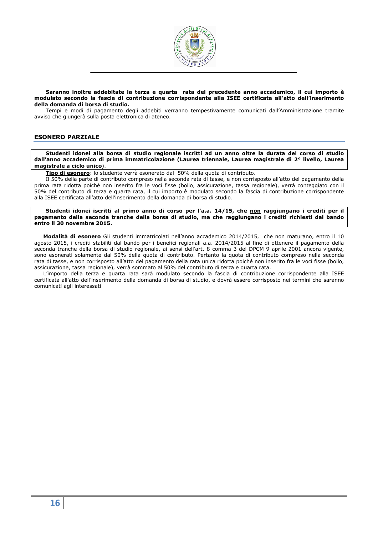

#### **Saranno inoltre addebitate la terza e quarta rata del precedente anno accademico, il cui importo è modulato secondo la fascia di contribuzione corrispondente alla ISEE certificata all'atto dell'inserimento della domanda di borsa di studio.**

Tempi e modi di pagamento degli addebiti verranno tempestivamente comunicati dall'Amministrazione tramite avviso che giungerà sulla posta elettronica di ateneo.

# **ESONERO PARZIALE**

**Studenti idonei alla borsa di studio regionale iscritti ad un anno oltre la durata del corso di studio dall'anno accademico di prima immatricolazione (Laurea triennale, Laurea magistrale di 2° livello, Laurea magistrale a ciclo unico**).

**Tipo di esonero**: lo studente verrà esonerato dal 50% della quota di contributo.

Il 50% della parte di contributo compreso nella seconda rata di tasse, e non corrisposto all'atto del pagamento della prima rata ridotta poiché non inserito fra le voci fisse (bollo, assicurazione, tassa regionale), verrà conteggiato con il 50% del contributo di terza e quarta rata, il cui importo è modulato secondo la fascia di contribuzione corrispondente alla ISEE certificata all'atto dell'inserimento della domanda di borsa di studio.

Studenti idonei iscritti al primo anno di corso per l'a.a. 14/15, che non raggiungano i crediti per il **pagamento della seconda tranche della borsa di studio, ma che raggiungano i crediti richiesti dal bando entro il 30 novembre 2015.** 

**Modalità di esonero** Gli studenti immatricolati nell'anno accademico 2014/2015, che non maturano, entro il 10 agosto 2015, i crediti stabiliti dal bando per i benefici regionali a.a. 2014/2015 al fine di ottenere il pagamento della seconda tranche della borsa di studio regionale, ai sensi dell'art. 8 comma 3 del DPCM 9 aprile 2001 ancora vigente, sono esonerati solamente dal 50% della quota di contributo. Pertanto la quota di contributo compreso nella seconda rata di tasse, e non corrisposto all'atto del pagamento della rata unica ridotta poiché non inserito fra le voci fisse (bollo, assicurazione, tassa regionale), verrà sommato al 50% del contributo di terza e quarta rata.

L'importo della terza e quarta rata sarà modulato secondo la fascia di contribuzione corrispondente alla ISEE certificata all'atto dell'inserimento della domanda di borsa di studio, e dovrà essere corrisposto nei termini che saranno comunicati agli interessati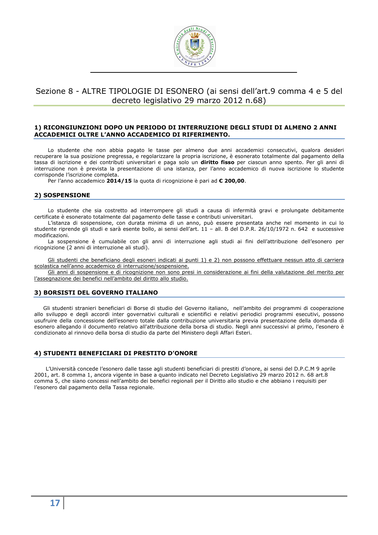

# Sezione 8 - ALTRE TIPOLOGIE DI ESONERO (ai sensi dell'art.9 comma 4 e 5 del decreto legislativo 29 marzo 2012 n.68)

### **1) RICONGIUNZIONI DOPO UN PERIODO DI INTERRUZIONE DEGLI STUDI DI ALMENO 2 ANNI ACCADEMICI OLTRE L'ANNO ACCADEMICO DI RIFERIMENTO.**

Lo studente che non abbia pagato le tasse per almeno due anni accademici consecutivi, qualora desideri recuperare la sua posizione pregressa, e regolarizzare la propria iscrizione, è esonerato totalmente dal pagamento della tassa di iscrizione e dei contributi universitari e paga solo un **diritto fisso** per ciascun anno spento. Per gli anni di interruzione non è prevista la presentazione di una istanza, per l'anno accademico di nuova iscrizione lo studente corrisponde l'iscrizione completa.

Per l'anno accademico **2014/15** la quota di ricognizione è pari ad **€ 200,00**.

# **2) SOSPENSIONE**

Lo studente che sia costretto ad interrompere gli studi a causa di infermità gravi e prolungate debitamente certificate è esonerato totalmente dal pagamento delle tasse e contributi universitari.

L'istanza di sospensione, con durata minima di un anno, può essere presentata anche nel momento in cui lo studente riprende gli studi e sarà esente bollo, ai sensi dell'art. 11 – all. B del D.P.R. 26/10/1972 n. 642 e successive modificazioni.

La sospensione è cumulabile con gli anni di interruzione agli studi ai fini dell'attribuzione dell'esonero per ricognizione (2 anni di interruzione ali studi).

Gli studenti che beneficiano degli esoneri indicati ai punti 1) e 2) non possono effettuare nessun atto di carriera scolastica nell'anno accademico di interruzione/sospensione.

Gli anni di sospensione e di ricognizione non sono presi in considerazione ai fini della valutazione del merito per l'assegnazione dei benefici nell'ambito del diritto allo studio.

# **3) BORSISTI DEL GOVERNO ITALIANO**

Gli studenti stranieri beneficiari di Borse di studio del Governo italiano, nell'ambito dei programmi di cooperazione allo sviluppo e degli accordi inter governativi culturali e scientifici e relativi periodici programmi esecutivi, possono usufruire della concessione dell'esonero totale dalla contribuzione universitaria previa presentazione della domanda di esonero allegando il documento relativo all'attribuzione della borsa di studio. Negli anni successivi al primo, l'esonero è condizionato al rinnovo della borsa di studio da parte del Ministero degli Affari Esteri.

# **4) STUDENTI BENEFICIARI DI PRESTITO D'ONORE**

L'Università concede l'esonero dalle tasse agli studenti beneficiari di prestiti d'onore, ai sensi del D.P.C.M 9 aprile 2001, art. 8 comma 1, ancora vigente in base a quanto indicato nel Decreto Legislativo 29 marzo 2012 n. 68 art.8 comma 5, che siano concessi nell'ambito dei benefici regionali per il Diritto allo studio e che abbiano i requisiti per l'esonero dal pagamento della Tassa regionale.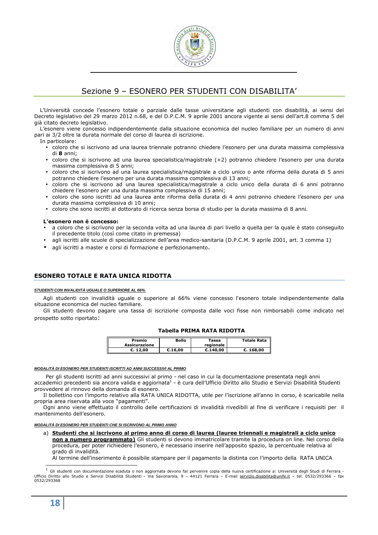

# Sezione 9 – ESONERO PER STUDENTI CON DISABILITA'

L'Università concede l'esonero totale o parziale dalle tasse universitarie agli studenti con disabilità, ai sensi del Decreto legislativo del 29 marzo 2012 n.68, e del D.P.C.M. 9 aprile 2001 ancora vigente ai sensi dell'art.8 comma 5 del già citato decreto legislativo.

L'esonero viene concesso indipendentemente dalla situazione economica del nucleo familiare per un numero di anni pari ai 3/2 oltre la durata normale del corso di laurea di iscrizione.

- In particolare:
	- coloro che si iscrivono ad una laurea triennale potranno chiedere l'esonero per una durata massima complessiva di **8** anni;
	- coloro che si iscrivono ad una laurea specialistica/magistrale (+2) potranno chiedere l'esonero per una durata massima complessiva di 5 anni;
	- coloro che si iscrivono ad una laurea specialistica/magistrale a ciclo unico o ante riforma della durata di 5 anni potranno chiedere l'esonero per una durata massima complessiva di 13 anni;
	- coloro che si iscrivono ad una laurea specialistica/magistrale a ciclo unico della durata di 6 anni potranno chiedere l'esonero per una durata massima complessiva di 15 anni;
	- coloro che sono iscritti ad una laurea ante riforma della durata di 4 anni potranno chiedere l'esonero per una durata massima complessiva di 10 anni;
	- coloro che sono iscritti al dottorato di ricerca senza borsa di studio per la durata massima di 8 anni.

#### **L'esonero non è concesso:**

- a coloro che si iscrivono per la seconda volta ad una laurea di pari livello a quella per la quale è stato conseguito il precedente titolo (così come citato in premessa)
- agli iscritti alle scuole di specializzazione dell'area medico-sanitaria (D.P.C.M. 9 aprile 2001, art. 3 comma 1)
- agli iscritti a master e corsi di formazione e perfezionamento.

# **ESONERO TOTALE E RATA UNICA RIDOTTA**

#### **STUDENTI CON INVALIDITÀ UGUALE O SUPERIORE AL 66%.**

Agli studenti con invalidità uguale o superiore al 66% viene concesso l'esonero totale indipendentemente dalla situazione economica del nucleo familiare.

Gli studenti devono pagare una tassa di iscrizione composta dalle voci fisse non rimborsabili come indicato nel prospetto sotto riportato:

### **Tabella PRIMA RATA RIDOTTA**

| Premio<br>Assicurazione | Bollo   | Tassa<br>regionale | <b>Totale Rata</b> |
|-------------------------|---------|--------------------|--------------------|
| €. 12.00                | €.16.00 | C.140.00           | C.168.00           |

#### **MODALITÀ DI ESONERO PER STUDENTI ISCRITTI AD ANNI SUCCESSIVI AL PRIMO**

Per gli studenti iscritti ad anni successivi al primo - nel caso in cui la documentazione presentata negli anni accademici precedenti sia ancora valida e aggiornata<sup>1</sup> - è cura dell'Ufficio Diritto allo Studio e Servizi Disabilità Studenti provvedere al rinnovo della domanda di esonero.

Il bollettino con l'importo relativo alla RATA UNICA RIDOTTA, utile per l'iscrizione all'anno in corso, è scaricabile nella propria area riservata alla voce "pagamenti".

Ogni anno viene effettuato il controllo delle certificazioni di invalidità rivedibili al fine di verificare i requisiti per il mantenimento dell'esonero.

#### **MODALITÀ DI ESONERO PER STUDENTI CHE SI ISCRIVONO AL PRIMO ANNO**

a) **Studenti che si iscrivono al primo anno di corso di laurea (lauree triennali e magistrali a ciclo unico non a numero programmato)** Gli studenti si devono immatricolare tramite la procedura on line. Nel corso della procedura, per poter richiedere l'esonero, è necessario inserire nell'apposito spazio, la percentuale relativa al grado di invalidità.

Al termine dell'inserimento è possibile stampare per il pagamento la distinta con l'importo della RATA UNICA

l

 $1$  Gli studenti con documentazione scaduta o non aggiornata devono far pervenire copia della nuova certificazione a: Università degli Studi di Ferrara -Ufficio Diritto allo Studio e Servizi Disabilità Studenti - Via Savonarola, 9 – 44121 Ferrara – E-mail servizio.disabilita@unife.it – tel. 0532/293366 – fax 0532/293368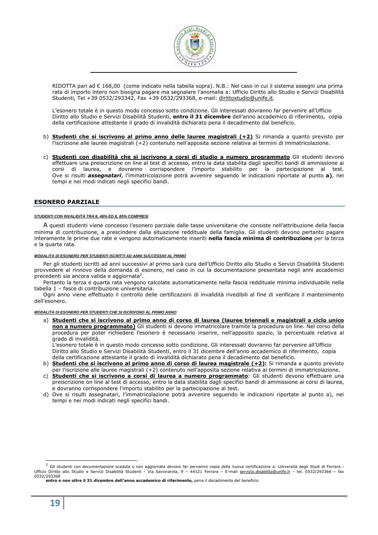

RIDOTTA pari ad € 168,00 (come indicato nella tabella sopra). N.B.: Nel caso in cui il sistema assegni una prima rata di importo intero non bisogna pagare ma segnalare l'anomalia a: Ufficio Diritto allo Studio e Servizi Disabilità Studenti, Tel +39 0532/293342, Fax +39 0532/293368, e-mail: dirittostudio@unife.it.

L'esonero totale è in questo modo concesso sotto condizione. Gli interessati dovranno far pervenire all'Ufficio Diritto allo Studio e Servizi Disabilità Studenti, **entro il 31 dicembre** dell'anno accademico di riferimento, copia della certificazione attestante il grado di invalidità dichiarato pena il decadimento dal beneficio.

- b) **Studenti che si iscrivono al primo anno delle lauree magistrali (+2)** Si rimanda a quanto previsto per l'iscrizione alle lauree magistrali (+2) contenuto nell'apposita sezione relativa ai termini di immatricolazione.
- c) **Studenti con disabilità che si iscrivono a corsi di studio a numero programmato** Gli studenti devono effettuare una preiscrizione on line al test di accesso, entro la data stabilita dagli specifici bandi di ammissione ai corsi di laurea, e dovranno corrispondere l'importo stabilito per la partecipazione al test. Ove si risulti *assegnatari*, l'immatricolazione potrà avvenire seguendo le indicazioni riportate al punto **a)**, nei tempi e nei modi indicati negli specifici bandi.

### **ESONERO PARZIALE**

#### **STUDENTI CON INVALIDITÀ TRA IL 46% ED IL 65% COMPRESI**

A questi studenti viene concesso l'esonero parziale dalle tasse universitarie che consiste nell'attribuzione della fascia minima di contribuzione, a prescindere dalla situazione reddituale della famiglia. Gli studenti devono pertanto pagare interamente le prime due rate e vengono automaticamente inseriti **nella fascia minima di contribuzione** per la terza e la quarta rata.

#### **MODALITÀ DI ESONERO PER STUDENTI ISCRITTI AD ANNI SUCCESSIVI AL PRIMO**

Per gli studenti iscritti ad anni successivi al primo sarà cura dell'Ufficio Diritto allo Studio e Servizi Disabilità Studenti provvedere al rinnovo della domanda di esonero, nel caso in cui la documentazione presentata negli anni accademici precedenti sia ancora valida e aggiornata<sup>2</sup>.

Pertanto la terza e quarta rata vengono calcolate automaticamente nella fascia reddituale minima individuabile nella tabella 1 – fasce di contribuzione universitaria.

Ogni anno viene effettuato il controllo delle certificazioni di invalidità rivedibili al fine di verificare il mantenimento dell'esonero.

**MODALITÀ DI ESONERO PER STUDENTI CHE SI ISCRIVONO AL PRIMO ANNO** 

a) **Studenti che si iscrivono al primo anno di corso di laurea (lauree triennali e magistrali a ciclo unico non a numero programmato)** Gli studenti si devono immatricolare tramite la procedura on line. Nel corso della procedura per poter richiedere l'esonero è necessario inserire, nell'apposito spazio, la percentuale relativa al grado di invalidità.

L'esonero totale è in questo modo concesso sotto condizione. Gli interessati dovranno far pervenire all'Ufficio Diritto allo Studio e Servizi Disabilità Studenti, entro il 31 dicembre dell'anno accademico di riferimento, copia della certificazione attestante il grado di invalidità dichiarato pena il decadimento dal beneficio.

- b) **Studenti che si iscrivono al primo anno di corso di laurea magistrale (+2):** Si rimanda a quanto previsto per l'iscrizione alle lauree magistrali (+2) contenuto nell'apposita sezione relativa ai termini di immatricolazione.
- c) **Studenti che si iscrivono a corsi di laurea a numero programmato**: Gli studenti devono effettuare una preiscrizione on line al test di accesso, entro la data stabilita dagli specifici bandi di ammissione ai corsi di laurea, e dovranno corrispondere l'importo stabilito per la partecipazione al test.
- d) Ove si risulti assegnatari, l'immatricolazione potrà avvenire seguendo le indicazioni riportate al punto a), nei tempi e nei modi indicati negli specifici bandi.

j

<sup>&</sup>lt;sup>2</sup> Gli studenti con documentazione scaduta o non aggiornata devono far pervenire copia della nuova certificazione a: Università degli Studi di Ferrara -Ufficio Diritto allo Studio e Servizi Disabilità Studenti - Via Savonarola, 9 - 44121 Ferrara - E-mail servizio.disabilita@unife.it - tel. 0532/293366 - fax 0532/293368

**entro e non oltre il 31 dicembre dell'anno accademico di riferimento,** pena il decadimento del beneficio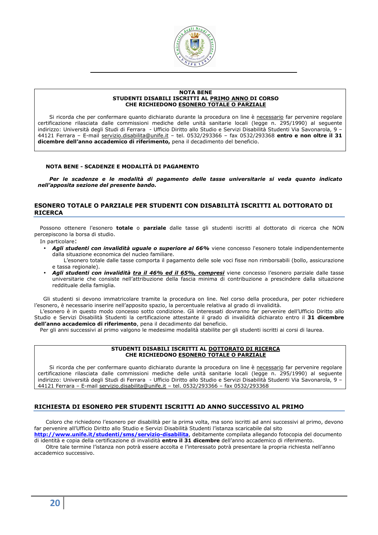

#### **NOTA BENE STUDENTI DISABILI ISCRITTI AL PRIMO ANNO DI CORSO CHE RICHIEDONO ESONERO TOTALE O PARZIALE**

Si ricorda che per confermare quanto dichiarato durante la procedura on line è necessario far pervenire regolare certificazione rilasciata dalle commissioni mediche delle unità sanitarie locali (legge n. 295/1990) al seguente indirizzo: Università degli Studi di Ferrara - Ufficio Diritto allo Studio e Servizi Disabilità Studenti Via Savonarola, 9 – 44121 Ferrara – E-mail servizio.disabilita@unife.it – tel. 0532/293366 – fax 0532/293368 **entro e non oltre il 31 dicembre dell'anno accademico di riferimento,** pena il decadimento del beneficio.

#### **NOTA BENE - SCADENZE E MODALITÀ DI PAGAMENTO**

*Per le scadenze e le modalità di pagamento delle tasse universitarie si veda quanto indicato nell'apposita sezione del presente bando.* 

# **ESONERO TOTALE O PARZIALE PER STUDENTI CON DISABILITÀ ISCRITTI AL DOTTORATO DI RICERCA**

Possono ottenere l'esonero **totale** o **parziale** dalle tasse gli studenti iscritti al dottorato di ricerca che NON percepiscono la borsa di studio.

In particolare:

• *Agli studenti con invalidità uguale o superiore al 66%* viene concesso l'esonero totale indipendentemente dalla situazione economica del nucleo familiare.

L'esonero totale dalle tasse comporta il pagamento delle sole voci fisse non rimborsabili (bollo, assicurazione e tassa regionale).

• *Agli studenti con invalidità tra il 46% ed il 65%, compresi* viene concesso l'esonero parziale dalle tasse universitarie che consiste nell'attribuzione della fascia minima di contribuzione a prescindere dalla situazione reddituale della famiglia.

Gli studenti si devono immatricolare tramite la procedura on line. Nel corso della procedura, per poter richiedere l'esonero, è necessario inserire nell'apposito spazio, la percentuale relativa al grado di invalidità.

L'esonero è in questo modo concesso sotto condizione. Gli interessati dovranno far pervenire dell'Ufficio Diritto allo Studio e Servizi Disabilità Studenti la certificazione attestante il grado di invalidità dichiarato entro il **31 dicembre dell'anno accademico di riferimento**, pena il decadimento dal beneficio.

Per gli anni successivi al primo valgono le medesime modalità stabilite per gli studenti iscritti ai corsi di laurea.

#### **STUDENTI DISABILI ISCRITTI AL DOTTORATO DI RICERCA CHE RICHIEDONO ESONERO TOTALE O PARZIALE**

Si ricorda che per confermare quanto dichiarato durante la procedura on line è necessario far pervenire regolare certificazione rilasciata dalle commissioni mediche delle unità sanitarie locali (legge n. 295/1990) al seguente indirizzo: Università degli Studi di Ferrara - Ufficio Diritto allo Studio e Servizi Disabilità Studenti Via Savonarola, 9 – 44121 Ferrara – E-mail servizio.disabilita@unife.it – tel. 0532/293366 – fax 0532/293368

# **RICHIESTA DI ESONERO PER STUDENTI ISCRITTI AD ANNO SUCCESSIVO AL PRIMO**

Coloro che richiedono l'esonero per disabilità per la prima volta, ma sono iscritti ad anni successivi al primo, devono far pervenire all'Ufficio Diritto allo Studio e Servizi Disabilità Studenti l'istanza scaricabile dal sito

**http://www.unife.it/studenti/sms/servizio-disabilita**, debitamente compilata allegando fotocopia del documento di identità e copia della certificazione di invalidità **entro il 31 dicembre** dell'anno accademico di riferimento.

Oltre tale termine l'istanza non potrà essere accolta e l'interessato potrà presentare la propria richiesta nell'anno accademico successivo.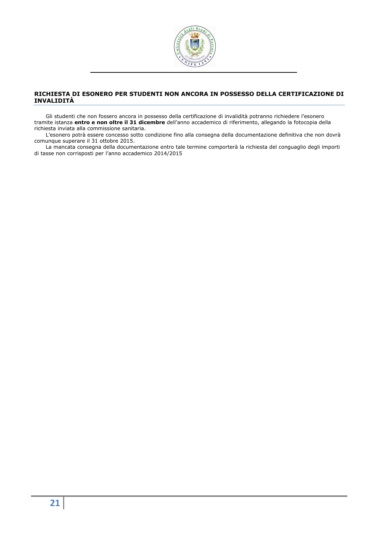

# **RICHIESTA DI ESONERO PER STUDENTI NON ANCORA IN POSSESSO DELLA CERTIFICAZIONE DI INVALIDITÀ**

Gli studenti che non fossero ancora in possesso della certificazione di invalidità potranno richiedere l'esonero tramite istanza **entro e non oltre il 31 dicembre** dell'anno accademico di riferimento, allegando la fotocopia della richiesta inviata alla commissione sanitaria.

L'esonero potrà essere concesso sotto condizione fino alla consegna della documentazione definitiva che non dovrà comunque superare il 31 ottobre 2015.

La mancata consegna della documentazione entro tale termine comporterà la richiesta del conguaglio degli importi di tasse non corrisposti per l'anno accademico 2014/2015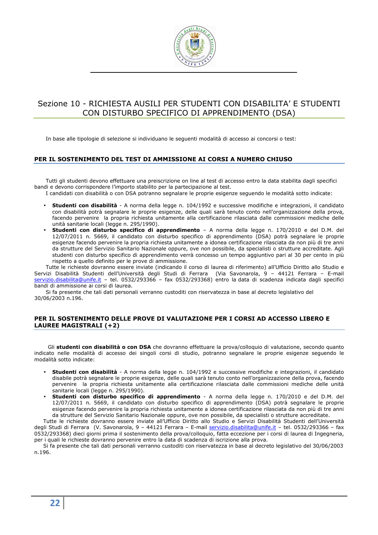

# Sezione 10 - RICHIESTA AUSILI PER STUDENTI CON DISABILITA' E STUDENTI CON DISTURBO SPECIFICO DI APPRENDIMENTO (DSA)

In base alle tipologie di selezione si individuano le seguenti modalità di accesso ai concorsi o test:

# **PER IL SOSTENIMENTO DEL TEST DI AMMISSIONE AI CORSI A NUMERO CHIUSO**

Tutti gli studenti devono effettuare una preiscrizione on line al test di accesso entro la data stabilita dagli specifici bandi e devono corrispondere l'importo stabilito per la partecipazione al test.

I candidati con disabilità o con DSA potranno segnalare le proprie esigenze seguendo le modalità sotto indicate:

- **Studenti con disabilità** A norma della legge n. 104/1992 e successive modifiche e integrazioni, il candidato con disabilità potrà segnalare le proprie esigenze, delle quali sarà tenuto conto nell'organizzazione della prova, facendo pervenire la propria richiesta unitamente alla certificazione rilasciata dalle commissioni mediche delle unità sanitarie locali (legge n. 295/1990).
- **Studenti con disturbo specifico di apprendimento** A norma della legge n. 170/2010 e del D.M. del 12/07/2011 n. 5669, il candidato con disturbo specifico di apprendimento (DSA) potrà segnalare le proprie esigenze facendo pervenire la propria richiesta unitamente a idonea certificazione rilasciata da non più di tre anni da strutture del Servizio Sanitario Nazionale oppure, ove non possibile, da specialisti o strutture accreditate. Agli studenti con disturbo specifico di apprendimento verrà concesso un tempo aggiuntivo pari al 30 per cento in più rispetto a quello definito per le prove di ammissione.

Tutte le richieste dovranno essere inviate (indicando il corso di laurea di riferimento) all'Ufficio Diritto allo Studio e Servizi Disabilità Studenti dell'Università degli Studi di Ferrara (Via Savonarola, 9 – 44121 Ferrara – E-mail servizio.disabilita@unife.it - tel. 0532/293366 - fax 0532/293368) entro la data di scadenza indicata dagli specifici bandi di ammissione ai corsi di laurea.

Si fa presente che tali dati personali verranno custoditi con riservatezza in base al decreto legislativo del 30/06/2003 n.196.

# **PER IL SOSTENIMENTO DELLE PROVE DI VALUTAZIONE PER I CORSI AD ACCESSO LIBERO E LAUREE MAGISTRALI (+2)**

Gli **studenti con disabilità o con DSA** che dovranno effettuare la prova/colloquio di valutazione, secondo quanto indicato nelle modalità di accesso dei singoli corsi di studio, potranno segnalare le proprie esigenze seguendo le modalità sotto indicate:

- **Studenti con disabilità** A norma della legge n. 104/1992 e successive modifiche e integrazioni, il candidato disabile potrà segnalare le proprie esigenze, delle quali sarà tenuto conto nell'organizzazione della prova, facendo pervenire la propria richiesta unitamente alla certificazione rilasciata dalle commissioni mediche delle unità sanitarie locali (legge n. 295/1990).
- **Studenti con disturbo specifico di apprendimento** A norma della legge n. 170/2010 e del D.M. del 12/07/2011 n. 5669, il candidato con disturbo specifico di apprendimento (DSA) potrà segnalare le proprie esigenze facendo pervenire la propria richiesta unitamente a idonea certificazione rilasciata da non più di tre anni da strutture del Servizio Sanitario Nazionale oppure, ove non possibile, da specialisti o strutture accreditate.

Tutte le richieste dovranno essere inviate all'Ufficio Diritto allo Studio e Servizi Disabilità Studenti dell'Università degli Studi di Ferrara (V. Savonarola, 9 – 44121 Ferrara – E-mail servizio.disabilita@unife.it – tel. 0532/293366 – fax 0532/293368) dieci giorni prima il sostenimento della prova/colloquio, fatta eccezione per i corsi di laurea di Ingegneria, per i quali le richieste dovranno pervenire entro la data di scadenza di iscrizione alla prova.

Si fa presente che tali dati personali verranno custoditi con riservatezza in base al decreto legislativo del 30/06/2003 n.196.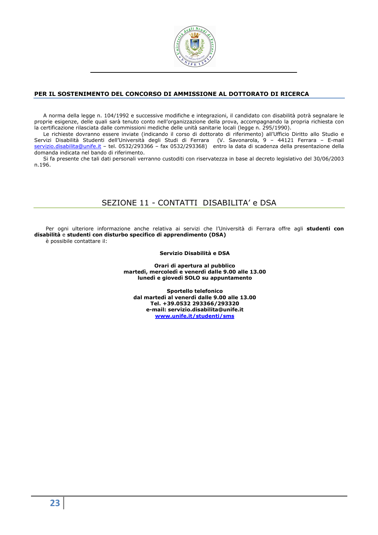

# **PER IL SOSTENIMENTO DEL CONCORSO DI AMMISSIONE AL DOTTORATO DI RICERCA**

A norma della legge n. 104/1992 e successive modifiche e integrazioni, il candidato con disabilità potrà segnalare le proprie esigenze, delle quali sarà tenuto conto nell'organizzazione della prova, accompagnando la propria richiesta con la certificazione rilasciata dalle commissioni mediche delle unità sanitarie locali (legge n. 295/1990).

Le richieste dovranno essere inviate (indicando il corso di dottorato di riferimento) all'Ufficio Diritto allo Studio e Servizi Disabilità Studenti dell'Università degli Studi di Ferrara (V. Savonarola, 9 – 44121 Ferrara – E-mail servizio.disabilita@unife.it – tel. 0532/293366 – fax 0532/293368) entro la data di scadenza della presentazione della domanda indicata nel bando di riferimento.

Si fa presente che tali dati personali verranno custoditi con riservatezza in base al decreto legislativo del 30/06/2003 n.196.

# SEZIONE 11 - CONTATTI DISABILITA' e DSA

Per ogni ulteriore informazione anche relativa ai servizi che l'Università di Ferrara offre agli **studenti con disabilità** e **studenti con disturbo specifico di apprendimento (DSA)**

è possibile contattare il:

### **Servizio Disabilità e DSA**

**Orari di apertura al pubblico martedì, mercoledì e venerdì dalle 9.00 alle 13.00 lunedì e giovedì SOLO su appuntamento** 

**Sportello telefonico dal martedì al venerdì dalle 9.00 alle 13.00 Tel. +39.0532 293366/293320 e-mail: servizio.disabilita@unife.it www.unife.it/studenti/sms**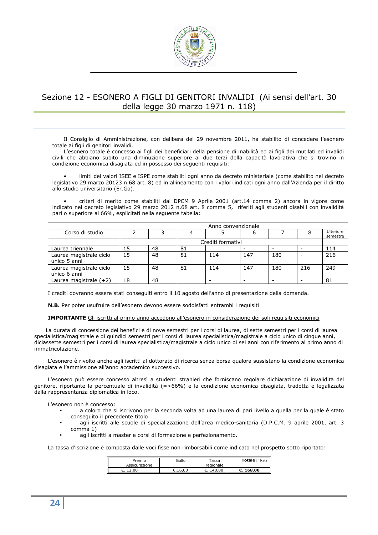

# Sezione 12 - ESONERO A FIGLI DI GENITORI INVALIDI (Ai sensi dell'art. 30 della legge 30 marzo 1971 n. 118)

Il Consiglio di Amministrazione, con delibera del 29 novembre 2011, ha stabilito di concedere l'esonero totale ai figli di genitori invalidi.

L'esonero totale è concesso ai figli dei beneficiari della pensione di inabilità ed ai figli dei mutilati ed invalidi civili che abbiano subito una diminuzione superiore ai due terzi della capacità lavorativa che si trovino in condizione economica disagiata ed in possesso dei seguenti requisiti:

• limiti dei valori ISEE e ISPE come stabiliti ogni anno da decreto ministeriale (come stabilito nel decreto legislativo 29 marzo 20123 n.68 art. 8) ed in allineamento con i valori indicati ogni anno dall'Azienda per il diritto allo studio universitario (Er.Go).

• criteri di merito come stabiliti dal DPCM 9 Aprile 2001 (art.14 comma 2) ancora in vigore come indicato nel decreto legislativo 29 marzo 2012 n.68 art. 8 comma 5, riferiti agli studenti disabili con invalidità pari o superiore al 66%, esplicitati nella seguente tabella:

|                                         |    | Anno convenzionale |    |                          |     |     |     |                       |  |
|-----------------------------------------|----|--------------------|----|--------------------------|-----|-----|-----|-----------------------|--|
| Corso di studio                         |    |                    |    |                          | b   |     |     | Ulteriore<br>semestre |  |
|                                         |    | Crediti formativi  |    |                          |     |     |     |                       |  |
| Laurea triennale                        | 15 | 48                 | 81 |                          |     |     |     | 114                   |  |
| Laurea magistrale ciclo<br>unico 5 anni | 15 | 48                 | 81 | 114                      | 147 | 180 |     | 216                   |  |
| Laurea magistrale ciclo<br>unico 6 anni | 15 | 48                 | 81 | 114                      | 147 | 180 | 216 | 249                   |  |
| Laurea magistrale $(+2)$                | 18 | 48                 |    | $\overline{\phantom{0}}$ | -   |     |     | 81                    |  |

I crediti dovranno essere stati conseguiti entro il 10 agosto dell'anno di presentazione della domanda.

**N.B.** Per poter usufruire dell'esonero devono essere soddisfatti entrambi i requisiti

**IMPORTANTE** Gli iscritti al primo anno accedono all'esonero in considerazione dei soli requisiti economici

La durata di concessione dei benefici è di nove semestri per i corsi di laurea, di sette semestri per i corsi di laurea specialistica/magistrale e di quindici semestri per i corsi di laurea specialistica/magistrale a ciclo unico di cinque anni, diciassette semestri per i corsi di laurea specialistica/magistrale a ciclo unico di sei anni con riferimento al primo anno di immatricolazione.

L'esonero è rivolto anche agli iscritti al dottorato di ricerca senza borsa qualora sussistano la condizione economica disagiata e l'ammissione all'anno accademico successivo.

L'esonero può essere concesso altresì a studenti stranieri che forniscano regolare dichiarazione di invalidità del genitore, riportante la percentuale di invalidità (=>66%) e la condizione economica disagiata, tradotta e legalizzata dalla rappresentanza diplomatica in loco.

L'esonero non è concesso:

- a coloro che si iscrivono per la seconda volta ad una laurea di pari livello a quella per la quale è stato conseguito il precedente titolo
- agli iscritti alle scuole di specializzazione dell'area medico-sanitaria (D.P.C.M. 9 aprile 2001, art. 3 comma 1)
- agli iscritti a master e corsi di formazione e perfezionamento.

La tassa d'iscrizione è composta dalle voci fisse non rimborsabili come indicato nel prospetto sotto riportato:

| Premio<br>Assicurazione | Bollo   | Tassa<br>regionale | <b>Totale I<sup>°</sup> Rata</b> |
|-------------------------|---------|--------------------|----------------------------------|
| 12,00<br>c.             | €.16.00 | 140.00             | C.168.00                         |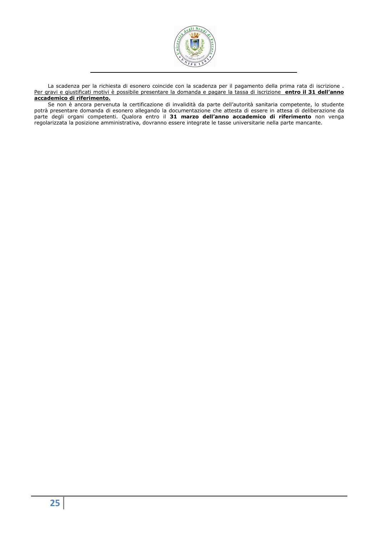

La scadenza per la richiesta di esonero coincide con la scadenza per il pagamento della prima rata di iscrizione . Per gravi e giustificati motivi è possibile presentare la domanda e pagare la tassa di iscrizione **entro il 31 dell'anno accademico di riferimento.**

Se non è ancora pervenuta la certificazione di invalidità da parte dell'autorità sanitaria competente, lo studente potrà presentare domanda di esonero allegando la documentazione che attesta di essere in attesa di deliberazione da parte degli organi competenti. Qualora entro il **31 marzo dell'anno accademico di riferimento** non venga regolarizzata la posizione amministrativa, dovranno essere integrate le tasse universitarie nella parte mancante.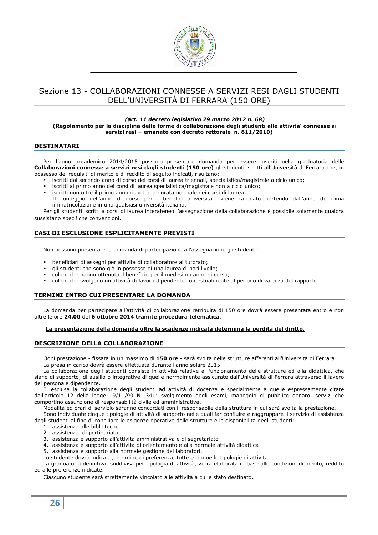

# Sezione 13 - COLLABORAZIONI CONNESSE A SERVIZI RESI DAGLI STUDENTI DELL'UNIVERSITÀ DI FERRARA (150 ORE)

#### *(art. 11 decreto legislativo 29 marzo 2012 n. 68)* **(Regolamento per la disciplina delle forme di collaborazione degli studenti alle attivita' connesse ai servizi resi – emanato con decreto rettorale n. 811/2010)**

### **DESTINATARI**

Per l'anno accademico 2014/2015 possono presentare domanda per essere inseriti nella graduatoria delle **Collaborazioni connesse a servizi resi dagli studenti (150 ore)** gli studenti iscritti all'Università di Ferrara che, in possesso dei requisiti di merito e di reddito di seguito indicati, risultano:

- iscritti dal secondo anno di corso dei corsi di laurea triennali, specialistica/magistrale a ciclo unico;
- iscritti al primo anno dei corsi di laurea specialistica/magistrale non a ciclo unico;
- iscritti non oltre il primo anno rispetto la durata normale dei corsi di laurea.
- Il conteggio dell'anno di corso per i benefici universitari viene calcolato partendo dall'anno di prima immatricolazione in una qualsiasi università italiana.

Per gli studenti iscritti a corsi di laurea interateneo l'assegnazione della collaborazione è possibile solamente qualora sussistano specifiche convenzioni.

# **CASI DI ESCLUSIONE ESPLICITAMENTE PREVISTI**

Non possono presentare la domanda di partecipazione all'assegnazione gli studenti:

- beneficiari di assegni per attività di collaboratore al tutorato;
- gli studenti che sono già in possesso di una laurea di pari livello;
- coloro che hanno ottenuto il beneficio per il medesimo anno di corso;
- coloro che svolgono un'attività di lavoro dipendente contestualmente al periodo di valenza del rapporto.

# **TERMINI ENTRO CUI PRESENTARE LA DOMANDA**

La domanda per partecipare all'attività di collaborazione retribuita di 150 ore dovrà essere presentata entro e non oltre le ore **24.00** del **6 ottobre 2014 tramite procedura telematica**.

#### **La presentazione della domanda oltre la scadenze indicata determina la perdita del diritto.**

# **DESCRIZIONE DELLA COLLABORAZIONE**

Ogni prestazione - fissata in un massimo di **150 ore** - sarà svolta nelle strutture afferenti all'Università di Ferrara. La presa in carico dovrà essere effettuata durante l'anno solare 2015.

La collaborazione degli studenti consiste in attività relative al funzionamento delle strutture ed alla didattica, che siano di supporto, di ausilio o integrative di quelle normalmente assicurate dall'Università di Ferrara attraverso il lavoro del personale dipendente.

E' esclusa la collaborazione degli studenti ad attività di docenza e specialmente a quelle espressamente citate dall'articolo 12 della legge 19/11/90 N. 341: svolgimento degli esami, maneggio di pubblico denaro, servizi che comportino assunzione di responsabilità civile ed amministrativa.

Modalità ed orari di servizio saranno concordati con il responsabile della struttura in cui sarà svolta la prestazione.

Sono individuate cinque tipologie di attività di supporto nelle quali far confluire e raggruppare il servizio di assistenza degli studenti al fine di conciliare le esigenze operative delle strutture e le disponibilità degli studenti:

- 1. assistenza alle biblioteche
- 2. assistenza di portinariato
- 3. assistenza e supporto all'attività amministrativa e di segretariato
- 4. assistenza e supporto all'attività di orientamento e alla normale attività didattica
- 5. assistenza e supporto alla normale gestione dei laboratori.
- Lo studente dovrà indicare, in ordine di preferenza, tutte e cinque le tipologie di attività.

La graduatoria definitiva, suddivisa per tipologia di attività, verrà elaborata in base alle condizioni di merito, reddito ed alle preferenze indicate.

Ciascuno studente sarà strettamente vincolato alle attività a cui è stato destinato.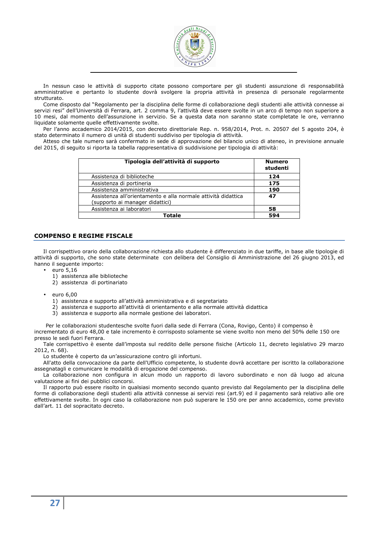

In nessun caso le attività di supporto citate possono comportare per gli studenti assunzione di responsabilità amministrative e pertanto lo studente dovrà svolgere la propria attività in presenza di personale regolarmente strutturato.

Come disposto dal "Regolamento per la disciplina delle forme di collaborazione degli studenti alle attività connesse ai servizi resi" dell'Università di Ferrara, art. 2 comma 9, l'attività deve essere svolte in un arco di tempo non superiore a 10 mesi, dal momento dell'assunzione in servizio. Se a questa data non saranno state completate le ore, verranno liquidate solamente quelle effettivamente svolte.

Per l'anno accademico 2014/2015, con decreto direttoriale Rep. n. 958/2014, Prot. n. 20507 del 5 agosto 204, è stato determinato il numero di unità di studenti suddiviso per tipologia di attività.

Atteso che tale numero sarà confermato in sede di approvazione del bilancio unico di ateneo, in previsione annuale del 2015, di seguito si riporta la tabella rappresentativa di suddivisione per tipologia di attività:

| Tipologia dell'attività di supporto                                                              | <b>Numero</b><br>studenti |
|--------------------------------------------------------------------------------------------------|---------------------------|
| Assistenza di biblioteche                                                                        | 124                       |
| Assistenza di portineria                                                                         | 175                       |
| Assistenza amministrativa                                                                        | 190                       |
| Assistenza all'orientamento e alla normale attività didattica<br>(supporto ai manager didattici) | 47                        |
| Assistenza ai laboratori                                                                         | 58                        |
| Totale                                                                                           | 594                       |

### **COMPENSO E REGIME FISCALE**

Il corrispettivo orario della collaborazione richiesta allo studente è differenziato in due tariffe, in base alle tipologie di attività di supporto, che sono state determinate con delibera del Consiglio di Amministrazione del 26 giugno 2013, ed hanno il seguente importo:

- $\bullet$  euro 5,16
	- 1) assistenza alle biblioteche
	- 2) assistenza di portinariato
- euro 6,00
	- 1) assistenza e supporto all'attività amministrativa e di segretariato
	- 2) assistenza e supporto all'attività di orientamento e alla normale attività didattica
	- 3) assistenza e supporto alla normale gestione dei laboratori.

Per le collaborazioni studentesche svolte fuori dalla sede di Ferrara (Cona, Rovigo, Cento) il compenso è incrementato di euro 48,00 e tale incremento è corrisposto solamente se viene svolto non meno del 50% delle 150 ore presso le sedi fuori Ferrara.

Tale corrispettivo è esente dall'imposta sul reddito delle persone fisiche (Articolo 11, decreto legislativo 29 marzo 2012, n. 68).

Lo studente è coperto da un'assicurazione contro gli infortuni.

All'atto della convocazione da parte dell'Ufficio competente, lo studente dovrà accettare per iscritto la collaborazione assegnatagli e comunicare le modalità di erogazione del compenso.

La collaborazione non configura in alcun modo un rapporto di lavoro subordinato e non dà luogo ad alcuna valutazione ai fini dei pubblici concorsi.

Il rapporto può essere risolto in qualsiasi momento secondo quanto previsto dal Regolamento per la disciplina delle forme di collaborazione degli studenti alla attività connesse ai servizi resi (art.9) ed il pagamento sarà relativo alle ore effettivamente svolte. In ogni caso la collaborazione non può superare le 150 ore per anno accademico, come previsto dall'art. 11 del sopracitato decreto.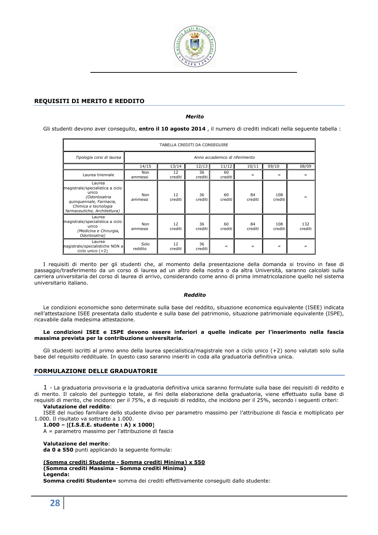

# **REQUISITI DI MERITO E REDDITO**

*Merito* 

Gli studenti devono aver conseguito, **entro il 10 agosto 2014** , il numero di crediti indicati nella seguente tabella :

| TABELLA CREDITI DA CONSEGUIRE                                                                                                                           |                 |               |               |                                |               |                |                |
|---------------------------------------------------------------------------------------------------------------------------------------------------------|-----------------|---------------|---------------|--------------------------------|---------------|----------------|----------------|
| Tipologia corsi di laurea                                                                                                                               |                 |               |               | Anno accademico di riferimento |               |                |                |
|                                                                                                                                                         | 14/15           | 13/14         | 12/13         | 11/12                          | 10/11         | 09/10          | 08/09          |
| Laurea triennale                                                                                                                                        | Non<br>ammessi  | 12<br>crediti | 36<br>crediti | 60<br>crediti l                | $=$           | $=$            | $=$            |
| Laurea<br>magistrale/specialistica a ciclo<br>unico<br>(Odontojatria<br>quinquennale, Farmacia,<br>Chimica e tecnologia<br>farmaceutiche, Architettura) | Non<br>ammessi  | 12<br>crediti | 36<br>crediti | 60<br>crediti                  | 84<br>crediti | 108<br>crediti |                |
| Laurea<br>magistrale/specialistica a ciclo<br>unico<br>(Medicina e Chirurgia,<br>Odontoiatria)                                                          | Non<br>ammessi  | 12<br>crediti | 36<br>crediti | 60<br>crediti                  | 84<br>crediti | 108<br>crediti | 132<br>crediti |
| Laurea<br>nagistrale/specialistiche NON a<br>ciclo unico $(+2)$                                                                                         | Solo<br>reddito | 12<br>crediti | 36<br>crediti | $=$                            | $=$           | $=$            |                |

I requisiti di merito per gli studenti che, al momento della presentazione della domanda si trovino in fase di passaggio/trasferimento da un corso di laurea ad un altro della nostra o da altra Università, saranno calcolati sulla carriera universitaria del corso di laurea di arrivo, considerando come anno di prima immatricolazione quello nel sistema universitario italiano.

#### *Reddito*

Le condizioni economiche sono determinate sulla base del reddito, situazione economica equivalente (ISEE) indicata nell'attestazione ISEE presentata dallo studente e sulla base del patrimonio, situazione patrimoniale equivalente (ISPE), ricavabile dalla medesima attestazione.

#### **Le condizioni ISEE e ISPE devono essere inferiori a quelle indicate per l'inserimento nella fascia massima prevista per la contribuzione universitaria.**

Gli studenti iscritti al primo anno della laurea specialistica/magistrale non a ciclo unico (+2) sono valutati solo sulla base del requisito reddituale. In questo caso saranno inseriti in coda alla graduatoria definitiva unica.

# **FORMULAZIONE DELLE GRADUATORIE**

1 - La graduatoria provvisoria e la graduatoria definitiva unica saranno formulate sulla base dei requisiti di reddito e di merito. Il calcolo del punteggio totale, ai fini della elaborazione della graduatoria, viene effettuato sulla base di requisiti di merito, che incidono per il 75%, e di requisiti di reddito, che incidono per il 25%, secondo i seguenti criteri: **Valutazione del reddito**:

ISEE del nucleo familiare dello studente diviso per parametro massimo per l'attribuzione di fascia e moltiplicato per 1.000. Il risultato va sottratto a 1.000.

**1.000 –** [**(I.S.E.E. studente : A) x 1000**]

A = parametro massimo per l'attribuzione di fascia

**Valutazione del merito**:

**da 0 a 550** punti applicando la seguente formula:

**(Somma crediti Studente - Somma crediti Minima) x 550 (Somma crediti Massima - Somma crediti Minima)** 

**Legenda:** 

**Somma crediti Studente=** somma dei crediti effettivamente conseguiti dallo studente: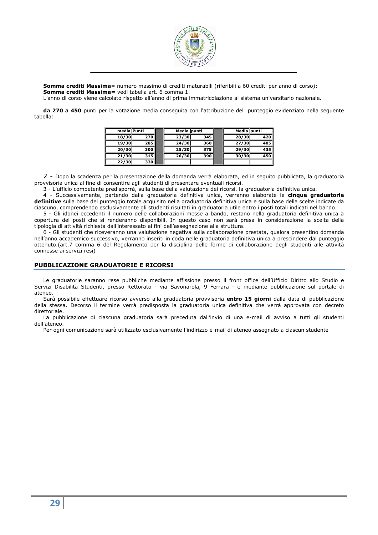

**Somma crediti Massima**= numero massimo di crediti maturabili (riferibili a 60 crediti per anno di corso): **Somma crediti Massima=** vedi tabella art. 6 comma 1.

L'anno di corso viene calcolato rispetto all'anno di prima immatricolazione al sistema universitario nazionale.

**da 270 a 450** punti per la votazione media conseguita con l'attribuzione del punteggio evidenziato nella seguente tabella:

| media Punti |     | Media punti |       | Media punti |     |
|-------------|-----|-------------|-------|-------------|-----|
| 18/30       | 270 | 23/30       | 345   | 28/30       | 420 |
| 19/30       | 285 | 24/30       | 360 l | 27/30       | 405 |
| 20/30       | 300 | 25/30       | 375   | 29/30       | 435 |
| 21/30       | 315 | 26/30       | 390   | 30/30       | 450 |
| 22/30       | 330 |             |       |             |     |

2 - Dopo la scadenza per la presentazione della domanda verrà elaborata, ed in seguito pubblicata, la graduatoria provvisoria unica al fine di consentire agli studenti di presentare eventuali ricorsi.

3 - L'ufficio competente predisporrà, sulla base della valutazione dei ricorsi. la graduatoria definitiva unica.

4 - Successivamente, partendo dalla graduatoria definitiva unica, verranno elaborate le **cinque graduatorie definitive** sulla base del punteggio totale acquisito nella graduatoria definitiva unica e sulla base della scelte indicate da ciascuno, comprendendo esclusivamente gli studenti risultati in graduatoria utile entro i posti totali indicati nel bando.

5 - Gli idonei eccedenti il numero delle collaborazioni messe a bando, restano nella graduatoria definitiva unica a copertura dei posti che si renderanno disponibili. In questo caso non sarà presa in considerazione la scelta della tipologia di attività richiesta dall'interessato ai fini dell'assegnazione alla struttura.

6 - Gli studenti che riceveranno una valutazione negativa sulla collaborazione prestata, qualora presentino domanda nell'anno accademico successivo, verranno inseriti in coda nelle graduatoria definitiva unica a prescindere dal punteggio ottenuto.(art.7 comma 6 del Regolamento per la disciplina delle forme di collaborazione degli studenti alle attività connesse ai servizi resi)

# **PUBBLICAZIONE GRADUATORIE E RICORSI**

Le graduatorie saranno rese pubbliche mediante affissione presso il front office dell'Ufficio Diritto allo Studio e Servizi Disabilità Studenti, presso Rettorato - via Savonarola, 9 Ferrara - e mediante pubblicazione sul portale di ateneo.

Sarà possibile effettuare ricorso avverso alla graduatoria provvisoria **entro 15 giorni** dalla data di pubblicazione della stessa. Decorso il termine verrà predisposta la graduatoria unica definitiva che verrà approvata con decreto direttoriale.

La pubblicazione di ciascuna graduatoria sarà preceduta dall'invio di una e-mail di avviso a tutti gli studenti dell'ateneo.

Per ogni comunicazione sarà utilizzato esclusivamente l'indirizzo e-mail di ateneo assegnato a ciascun studente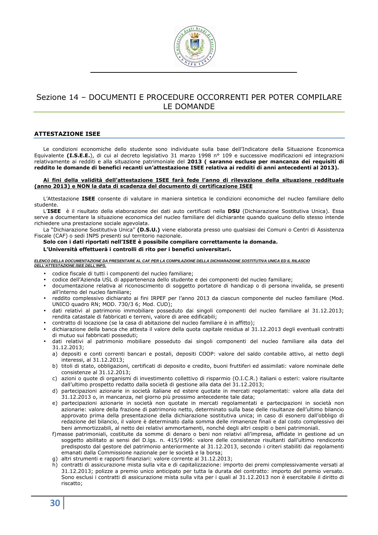

# Sezione 14 – DOCUMENTI E PROCEDURE OCCORRENTI PER POTER COMPILARE LE DOMANDE

### **ATTESTAZIONE ISEE**

Le condizioni economiche dello studente sono individuate sulla base dell'Indicatore della Situazione Economica Equivalente **(I.S.E.E.**), di cui al decreto legislativo 31 marzo 1998 n° 109 e successive modificazioni ed integrazioni relativamente ai redditi e alla situazione patrimoniale del **2013 ( saranno escluse per mancanza dei requisiti di reddito le domande di benefici recanti un'attestazione ISEE relativa ai redditi di anni antecedenti al 2013).** 

#### **Ai fini della validità dell'attestazione ISEE farà fede l'anno di rilevazione della situazione reddituale (anno 2013) e NON la data di scadenza del documento di certificazione ISEE**

L'Attestazione **ISEE** consente di valutare in maniera sintetica le condizioni economiche del nucleo familiare dello studente.

L'**ISEE** è il risultato della elaborazione dei dati auto certificati nella **DSU** (Dichiarazione Sostitutiva Unica). Essa serve a documentare la situazione economica del nucleo familiare del dichiarante quando qualcuno dello stesso intende richiedere una prestazione sociale agevolata.

La "Dichiarazione Sostitutiva Unica" **(D.S.U.)** viene elaborata presso uno qualsiasi dei Comuni o Centri di Assistenza Fiscale (CAF) o sedi INPS presenti sul territorio nazionale.

# **Solo con i dati riportati nell'ISEE è possibile compilare correttamente la domanda.**

**L'Università effettuerà i controlli di rito per i benefici universitari.** 

#### **ELENCO DELLA DOCUMENTAZIONE DA PRESENTARE AL CAF PER LA COMPILAZIONE DELLA DICHIARAZIONE SOSTITUTIVA UNICA ED IL RILASCIO DELL'ATTESTAZIONE ISEE DELL'INPS.**

- codice fiscale di tutti i componenti del nucleo familiare;
- codice dell'Azienda USL di appartenenza dello studente e dei componenti del nucleo familiare;
- documentazione relativa al riconoscimento di soggetto portatore di handicap o di persona invalida, se presenti all'interno del nucleo familiare;
- reddito complessivo dichiarato ai fini IRPEF per l'anno 2013 da ciascun componente del nucleo familiare (Mod. UNICO quadro RN; MOD. 730/3 6; Mod. CUD);
- dati relativi al patrimonio immobiliare posseduto dai singoli componenti del nucleo familiare al 31.12.2013; rendita catastale di fabbricati e terreni, valore di aree edificabili;
- contratto di locazione (se la casa di abitazione del nucleo familiare è in affitto);
- dichiarazione della banca che attesta il valore della quota capitale residua al 31.12.2013 degli eventuali contratti di mutuo sui fabbricati posseduti;
- dati relativi al patrimonio mobiliare posseduto dai singoli componenti del nucleo familiare alla data del 31.12.2013;
	- a) depositi e conti correnti bancari e postali, depositi COOP: valore del saldo contabile attivo, al netto degli interessi, al 31.12.2013;
	- b) titoli di stato, obbligazioni, certificati di deposito e credito, buoni fruttiferi ed assimilati: valore nominale delle consistenze al 31.12.2013;
	- c) azioni o quote di organismi di investimento collettivo di risparmio (O.I.C.R.) italiani o esteri: valore risultante dall'ultimo prospetto redatto dalla società di gestione alla data del 31.12.2013;
	- d) partecipazioni azionarie in società italiane ed estere quotate in mercati regolamentati: valore alla data del 31.12.2013 o, in mancanza, nel giorno più prossimo antecedente tale data;
	- e) partecipazioni azionarie in società non quotate in mercati regolamentati e partecipazioni in società non azionarie: valore della frazione di patrimonio netto, determinato sulla base delle risultanze dell'ultimo bilancio approvato prima della presentazione della dichiarazione sostitutiva unica; in caso di esonero dall'obbligo di redazione del bilancio, il valore è determinato dalla somma delle rimanenze finali e dal costo complessivo dei beni ammortizzabili, al netto dei relativi ammortamenti, nonché degli altri cespiti o beni patrimoniali.
	- f)masse patrimoniali, costituite da somme di denaro o beni non relativi all'impresa, affidate in gestione ad un soggetto abilitato ai sensi del D.lgs. n. 415/1996: valore delle consistenze risultanti dall'ultimo rendiconto predisposto dal gestore del patrimonio anteriormente al 31.12.2013, secondo i criteri stabiliti dai regolamenti emanati dalla Commissione nazionale per le società e la borsa;
	- g) altri strumenti e rapporti finanziari: valore corrente al 31.12.2013;
	- h) contratti di assicurazione mista sulla vita e di capitalizzazione: importo dei premi complessivamente versati al 31.12.2013; polizze a premio unico anticipato per tutta la durata del contratto: importo del premio versato. Sono esclusi i contratti di assicurazione mista sulla vita per i quali al 31.12.2013 non è esercitabile il diritto di riscatto;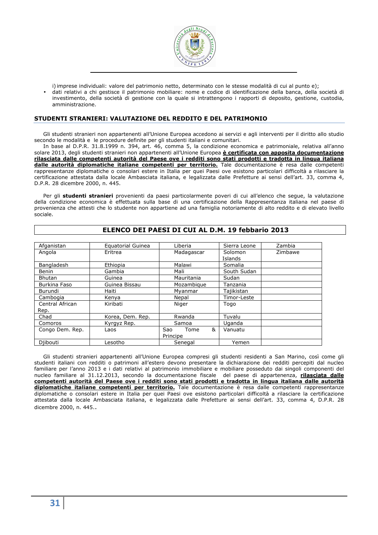

i) imprese individuali: valore del patrimonio netto, determinato con le stesse modalità di cui al punto e);

• dati relativi a chi gestisce il patrimonio mobiliare: nome e codice di identificazione della banca, della società di investimento, della società di gestione con la quale si intrattengono i rapporti di deposito, gestione, custodia, amministrazione.

### **STUDENTI STRANIERI: VALUTAZIONE DEL REDDITO E DEL PATRIMONIO**

Gli studenti stranieri non appartenenti all'Unione Europea accedono ai servizi e agli interventi per il diritto allo studio secondo le modalità e le procedure definite per gli studenti italiani e comunitari.

In base al D.P.R. 31.8.1999 n. 394, art. 46, comma 5, la condizione economica e patrimoniale, relativa all'anno solare 2013, degli studenti stranieri non appartenenti all'Unione Europea **è certificata con apposita documentazione rilasciata dalle competenti autorità del Paese ove i redditi sono stati prodotti e tradotta in lingua italiana dalle autorità diplomatiche italiane competenti per territorio.** Tale documentazione è resa dalle competenti rappresentanze diplomatiche o consolari estere in Italia per quei Paesi ove esistono particolari difficoltà a rilasciare la certificazione attestata dalla locale Ambasciata italiana, e legalizzata dalle Prefetture ai sensi dell'art. 33, comma 4, D.P.R. 28 dicembre 2000, n. 445.

Per gli **studenti stranieri** provenienti da paesi particolarmente poveri di cui all'elenco che segue, la valutazione della condizione economica è effettuata sulla base di una certificazione della Rappresentanza italiana nel paese di provenienza che attesti che lo studente non appartiene ad una famiglia notoriamente di alto reddito e di elevato livello sociale.

| Afganistan              | Equatorial Guinea | Liberia                      | Sierra Leone       | Zambia  |
|-------------------------|-------------------|------------------------------|--------------------|---------|
| Angola                  | Eritrea           | Madagascar                   | Solomon<br>Islands | Zimbawe |
| Bangladesh              | Ethiopia          | Malawi                       | Somalia            |         |
| Benin                   | Gambia            | Mali                         | South Sudan        |         |
| <b>Bhutan</b>           | Guinea            | Mauritania                   | Sudan              |         |
| Burkina Faso            | Guinea Bissau     | Mozambique                   | Tanzania           |         |
| Burundi                 | Haiti             | Myanmar                      | Tajikistan         |         |
| Cambogia                | Kenya             | Nepal                        | Timor-Leste        |         |
| Central African<br>Rep. | Kiribati          | Niger                        | Togo               |         |
| Chad                    | Korea, Dem. Rep.  | Rwanda                       | Tuvalu             |         |
| Comoros                 | Kyrgyz Rep.       | Samoa                        | Uganda             |         |
| Congo Dem. Rep.         | Laos              | &<br>Tome<br>Sao<br>Principe | Vanuatu            |         |
| Diibouti                | Lesotho           | Senegal                      | Yemen              |         |

### **ELENCO DEI PAESI DI CUI AL D.M. 19 febbario 2013**

Gli studenti stranieri appartenenti all'Unione Europea compresi gli studenti residenti a San Marino, così come gli studenti italiani con redditi o patrimoni all'estero devono presentare la dichiarazione dei redditi percepiti dal nucleo familiare per l'anno 2013 e i dati relativi al patrimonio immobiliare e mobiliare posseduto dai singoli componenti del nucleo familiare al 31.12.2013, secondo la documentazione fiscale del paese di appartenenza, **rilasciata dalle competenti autorità del Paese ove i redditi sono stati prodotti e tradotta in lingua italiana dalle autorità diplomatiche italiane competenti per territorio.** Tale documentazione è resa dalle competenti rappresentanze diplomatiche o consolari estere in Italia per quei Paesi ove esistono particolari difficoltà a rilasciare la certificazione attestata dalla locale Ambasciata italiana, e legalizzata dalle Prefetture ai sensi dell'art. 33, comma 4, D.P.R. 28 dicembre 2000, n. 445..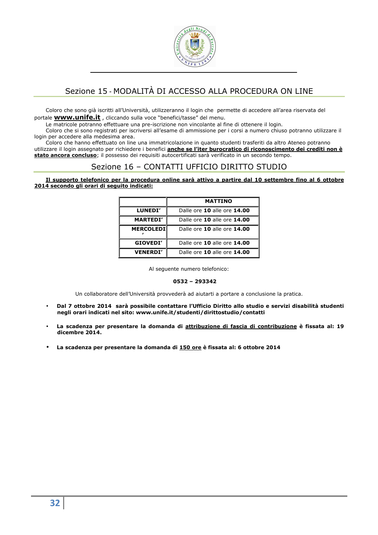

# Sezione 15 - MODALITÀ DI ACCESSO ALLA PROCEDURA ON LINE

Coloro che sono già iscritti all'Università, utilizzeranno il login che permette di accedere all'area riservata del portale **www.unife.it** , cliccando sulla voce "benefici/tasse" del menu.

Le matricole potranno effettuare una pre-iscrizione non vincolante al fine di ottenere il login.

Coloro che si sono registrati per iscriversi all'esame di ammissione per i corsi a numero chiuso potranno utilizzare il login per accedere alla medesima area.

Coloro che hanno effettuato on line una immatricolazione in quanto studenti trasferiti da altro Ateneo potranno utilizzare il login assegnato per richiedere i benefici **anche se l'iter burocratico di riconoscimento dei crediti non è stato ancora concluso**; il possesso dei requisiti autocertificati sarà verificato in un secondo tempo.

# Sezione 16 – CONTATTI UFFICIO DIRITTO STUDIO

**Il supporto telefonico per la procedura online sarà attivo a partire dal 10 settembre fino al 6 ottobre 2014 secondo gli orari di seguito indicati:** 

|                  | <b>MATTINO</b>              |
|------------------|-----------------------------|
| <b>LUNEDI'</b>   | Dalle ore 10 alle ore 14.00 |
| <b>MARTEDI'</b>  | Dalle ore 10 alle ore 14.00 |
| <b>MERCOLEDI</b> | Dalle ore 10 alle ore 14.00 |
| GIOVEDI'         | Dalle ore 10 alle ore 14.00 |
| <b>VENERDI'</b>  | Dalle ore 10 alle ore 14.00 |

Al seguente numero telefonico:

# **0532 – 293342**

Un collaboratore dell'Università provvederà ad aiutarti a portare a conclusione la pratica.

- **Dal 7 ottobre 2014 sarà possibile contattare l'Ufficio Diritto allo studio e servizi disabilità studenti negli orari indicati nel sito: www.unife.it/studenti/dirittostudio/contatti**
- **La scadenza per presentare la domanda di attribuzione di fascia di contribuzione è fissata al: 19 dicembre 2014.**
- **La scadenza per presentare la domanda di 150 ore è fissata al: 6 ottobre 2014**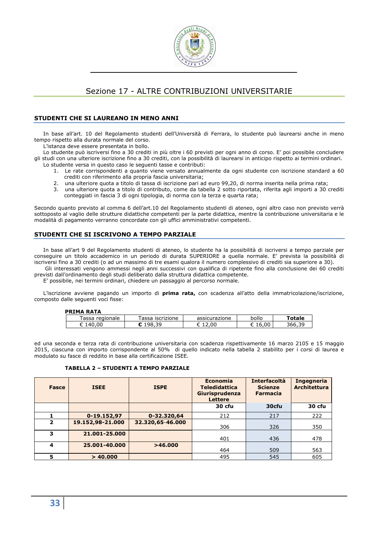

# Sezione 17 - ALTRE CONTRIBUZIONI UNIVERSITARIE

# **STUDENTI CHE SI LAUREANO IN MENO ANNI**

In base all'art. 10 del Regolamento studenti dell'Università di Ferrara, lo studente può laurearsi anche in meno tempo rispetto alla durata normale del corso.

L'istanza deve essere presentata in bollo.

Lo studente può iscriversi fino a 30 crediti in più oltre i 60 previsti per ogni anno di corso. E' poi possibile concludere gli studi con una ulteriore iscrizione fino a 30 crediti, con la possibilità di laurearsi in anticipo rispetto ai termini ordinari. Lo studente versa in questo caso le seguenti tasse e contributi:

- 1. Le rate corrispondenti a quanto viene versato annualmente da ogni studente con iscrizione standard a 60 crediti con riferimento alla propria fascia universitaria;
- 2. una ulteriore quota a titolo di tassa di iscrizione pari ad euro 99,20, di norma inserita nella prima rata;
- 3. una ulteriore quota a titolo di contributo, come da tabella 2 sotto riportata, riferita agli importi a 30 crediti conteggiati in fascia 3 di ogni tipologia, di norma con la terza e quarta rata;

Secondo quanto previsto al comma 6 dell'art.10 del Regolamento studenti di ateneo, ogni altro caso non previsto verrà sottoposto al vaglio delle strutture didattiche competenti per la parte didattica, mentre la contribuzione universitaria e le modalità di pagamento verranno concordate con gli uffici amministrativi competenti.

# **STUDENTI CHE SI ISCRIVONO A TEMPO PARZIALE**

In base all'art 9 del Regolamento studenti di ateneo, lo studente ha la possibilità di iscriversi a tempo parziale per conseguire un titolo accademico in un periodo di durata SUPERIORE a quella normale. E' prevista la possibilità di iscriversi fino a 30 crediti (o ad un massimo di tre esami qualora il numero complessivo di crediti sia superiore a 30). Gli interessati vengono ammessi negli anni successivi con qualifica di ripetente fino alla conclusione dei 60 crediti

previsti dall'ordinamento degli studi deliberato dalla struttura didattica competente.

E' possibile, nei termini ordinari, chiedere un passaggio al percorso normale.

L'iscrizione avviene pagando un importo di **prima rata,** con scadenza all'atto della immatricolazione/iscrizione, composto dalle seguenti voci fisse:

**PRIMA PATA** 

| FNJED NAIA        |                    |               |       |               |
|-------------------|--------------------|---------------|-------|---------------|
| assa<br>regionale | assa<br>iscrizione | assicurazione | bollo | <b>Totale</b> |
|                   | 30                 |               | ∩∩    | ๊๛            |
|                   |                    |               |       |               |

ed una seconda e terza rata di contribuzione universitaria con scadenza rispettivamente 16 marzo 2105 e 15 maggio 2015, ciascuna con importo corrispondente al 50% di quello indicato nella tabella 2 stabilito per i corsi di laurea e modulato su fasce di reddito in base alla certificazione ISEE.

### **TABELLA 2 – STUDENTI A TEMPO PARZIALE**

| Fasce          | <b>ISEE</b>      | <b>ISPE</b>      | Economia<br><b>Teledidattica</b><br>Giurisprudenza<br><b>Lettere</b> | <b>Interfacoltà</b><br><b>Scienze</b><br><b>Farmacia</b> | <b>Ingegneria</b><br><b>Architettura</b> |
|----------------|------------------|------------------|----------------------------------------------------------------------|----------------------------------------------------------|------------------------------------------|
|                |                  |                  | 30 cfu                                                               | 30cfu                                                    | 30 cfu                                   |
|                | 0-19.152,97      | 0-32.320,64      | 212                                                                  | 217                                                      | 222                                      |
| $\overline{2}$ | 19.152,98-21.000 | 32.320,65-46.000 | 306                                                                  | 326                                                      | 350                                      |
| 3              | 21.001-25.000    |                  | 401                                                                  | 436                                                      | 478                                      |
| 4              | 25.001-40.000    | >46.000          | 464                                                                  | 509                                                      | 563                                      |
| 5              | > 40.000         |                  | 495                                                                  | 545                                                      | 605                                      |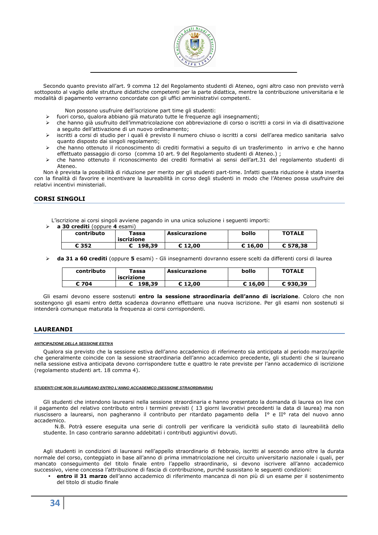

Secondo quanto previsto all'art. 9 comma 12 del Regolamento studenti di Ateneo, ogni altro caso non previsto verrà sottoposto al vaglio delle strutture didattiche competenti per la parte didattica, mentre la contribuzione universitaria e le modalità di pagamento verranno concordate con gli uffici amministrativi competenti.

Non possono usufruire dell'iscrizione part time gli studenti:

- fuori corso, qualora abbiano già maturato tutte le frequenze agli insegnamenti;
- che hanno già usufruito dell'immatricolazione con abbreviazione di corso o iscritti a corsi in via di disattivazione a seguito dell'attivazione di un nuovo ordinamento;
- iscritti a corsi di studio per i quali è previsto il numero chiuso o iscritti a corsi dell'area medico sanitaria salvo quanto disposto dai singoli regolamenti;
- che hanno ottenuto il riconoscimento di crediti formativi a seguito di un trasferimento in arrivo e che hanno effettuato passaggio di corso (comma 10 art. 9 del Regolamento studenti di Ateneo.) ;
- che hanno ottenuto il riconoscimento dei crediti formativi ai sensi dell'art.31 del regolamento studenti di Ateneo.

Non è prevista la possibilità di riduzione per merito per gli studenti part-time. Infatti questa riduzione è stata inserita con la finalità di favorire e incentivare la laureabilità in corso degli studenti in modo che l'Ateneo possa usufruire dei relativi incentivi ministeriali.

# **CORSI SINGOLI**

L'iscrizione ai corsi singoli avviene pagando in una unica soluzione i seguenti importi:

**a 30 crediti** (oppure **4** esami)

| contributo | Tassa<br>iscrizione | Assicurazione | bollo   | <b>TOTALE</b> |
|------------|---------------------|---------------|---------|---------------|
| € 352      | 198,39              | € 12.00       | € 16,00 | € 578.38      |

**da 31 a 60 crediti** (oppure **5** esami) - Gli insegnamenti dovranno essere scelti da differenti corsi di laurea

| contributo | Tassa<br>iscrizione | Assicurazione | bollo   | <b>TOTALE</b> |
|------------|---------------------|---------------|---------|---------------|
| € 704      | 198.39              | € 12.00       | € 16,00 | €930.39       |

Gli esami devono essere sostenuti **entro la sessione straordinaria dell'anno di iscrizione**. Coloro che non sostengono gli esami entro detta scadenza dovranno effettuare una nuova iscrizione. Per gli esami non sostenuti si intenderà comunque maturata la frequenza ai corsi corrispondenti.

# **LAUREANDI**

#### **ANTICIPAZIONE DELLA SESSIONE ESTIVA**

Qualora sia previsto che la sessione estiva dell'anno accademico di riferimento sia anticipata al periodo marzo/aprile che generalmente coincide con la sessione straordinaria dell'anno accademico precedente, gli studenti che si laureano nella sessione estiva anticipata devono corrispondere tutte e quattro le rate previste per l'anno accademico di iscrizione (regolamento studenti art. 18 comma 4).

#### **STUDENTI CHE NON SI LAUREANO ENTRO L'ANNO ACCADEMICO (SESSIONE STRAORDINARIA)**

Gli studenti che intendono laurearsi nella sessione straordinaria e hanno presentato la domanda di laurea on line con il pagamento del relativo contributo entro i termini previsti ( 13 giorni lavorativi precedenti la data di laurea) ma non riuscissero a laurearsi, non pagheranno il contributo per ritardato pagamento della I° e II° rata del nuovo anno accademico.

N.B. Potrà essere eseguita una serie di controlli per verificare la veridicità sullo stato di laureabilità dello studente. In caso contrario saranno addebitati i contributi aggiuntivi dovuti.

Agli studenti in condizioni di laurearsi nell'appello straordinario di febbraio, iscritti al secondo anno oltre la durata normale del corso, conteggiato in base all'anno di prima immatricolazione nel circuito universitario nazionale i quali, per mancato conseguimento del titolo finale entro l'appello straordinario, si devono iscrivere all'anno accademico successivo, viene concessa l'attribuzione di fascia di contribuzione, purché sussistano le seguenti condizioni:

• **entro il 31 marzo** dell'anno accademico di riferimento mancanza di non più di un esame per il sostenimento del titolo di studio finale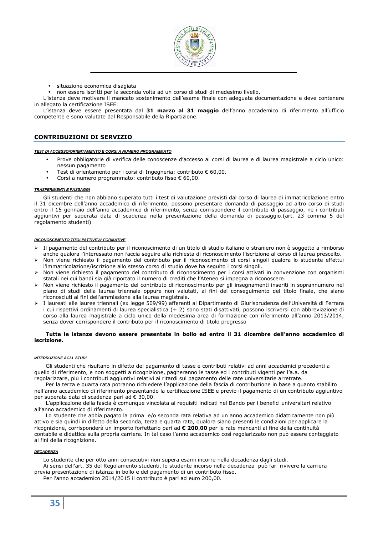

• situazione economica disagiata

• non essere iscritti per la seconda volta ad un corso di studi di medesimo livello.

L'istanza deve motivare il mancato sostenimento dell'esame finale con adeguata documentazione e deve contenere in allegato la certificazione ISEE.

L'istanza deve essere presentata dal **31 marzo al 31 maggio** dell'anno accademico di riferimento all'ufficio competente e sono valutate dal Responsabile della Ripartizione.

# **CONTRIBUZIONI DI SERVIZIO**

#### **TEST DI ACCESSO/ORIENTAMENTO E CORSI A NUMERO PROGRAMMATO**

- Prove obbligatorie di verifica delle conoscenze d'accesso ai corsi di laurea e di laurea magistrale a ciclo unico: nessun pagamento
- Test di orientamento per i corsi di Ingegneria: contributo € 60,00.
- Corsi a numero programmato: contributo fisso € 60,00.

#### **TRASFERIMENTI E PASSAGGI**

Gli studenti che non abbiano superato tutti i test di valutazione previsti dal corso di laurea di immatricolazione entro il 31 dicembre dell'anno accademico di riferimento, possono presentare domanda di passaggio ad altro corso di studi entro il 15 gennaio dell'anno accademico di riferimento, senza corrispondere il contributo di passaggio, ne i contributi aggiuntivi per superata data di scadenza nella presentazione della domanda di passaggio.(art. 23 comma 5 del regolamento studenti)

#### **RICONOSCIMENTO TITOLI/ATTIVITA' FORMATIVE**

- Il pagamento del contributo per il riconoscimento di un titolo di studio italiano o straniero non è soggetto a rimborso anche qualora l'interessato non faccia seguire alla richiesta di riconoscimento l'iscrizione al corso di laurea prescelto.
- Non viene richiesto il pagamento del contributo per il riconoscimento di corsi singoli qualora lo studente effettui l'immatricolazione/iscrizione allo stesso corso di studio dove ha seguito i corsi singoli.
- Non viene richiesto il pagamento del contributo di riconoscimento per i corsi attivati in convenzione con organismi statali nei cui bandi sia già riportato il numero di crediti che l'Ateneo si impegna a riconoscere.
- Non viene richiesto il pagamento del contributo di riconoscimento per gli insegnamenti inseriti in soprannumero nel piano di studi della laurea triennale oppure non valutati, ai fini del conseguimento del titolo finale, che siano riconosciuti ai fini dell'ammissione alla laurea magistrale.
- I laureati alle lauree triennali (ex legge 509/99) afferenti al Dipartimento di Giurisprudenza dell'Università di Ferrara i cui rispettivi ordinamenti di laurea specialistica (+ 2) sono stati disattivati, possono iscriversi con abbreviazione di corso alla laurea magistrale a ciclo unico della medesima area di formazione con riferimento all'anno 2013/2014, senza dover corrispondere il contributo per il riconoscimento di titolo pregresso

#### **Tutte le istanze devono essere presentate in bollo ed entro il 31 dicembre dell'anno accademico di iscrizione.**

#### **INTERRUZIONE AGLI STUDI**

Gli studenti che risultano in difetto del pagamento di tasse e contributi relativi ad anni accademici precedenti a quello di riferimento, e non soggetti a ricognizione, pagheranno le tasse ed i contributi vigenti per l'a.a. da regolarizzare, più i contributi aggiuntivi relativi ai ritardi sul pagamento delle rate universitarie arretrate.

Per la terza e quarta rata potranno richiedere l'applicazione della fascia di contribuzione in base a quanto stabilito nell'anno accademico di riferimento presentando la certificazione ISEE e previo il pagamento di un contributo aggiuntivo per superata data di scadenza pari ad € 30,00.

L'applicazione della fascia è comunque vincolata ai requisiti indicati nel Bando per i benefici universitari relativo all'anno accademico di riferimento.

Lo studente che abbia pagato la prima e/o seconda rata relativa ad un anno accademico didatticamente non più attivo e sia quindi in difetto della seconda, terza e quarta rata, qualora siano presenti le condizioni per applicare la ricognizione, corrisponderà un importo forfettario pari ad **€ 200**,**00** per le rate mancanti al fine della continuità contabile e didattica sulla propria carriera. In tal caso l'anno accademico così regolarizzato non può essere conteggiato ai fini della ricognizione.

#### **DECADENZA**

Lo studente che per otto anni consecutivi non supera esami incorre nella decadenza dagli studi.

Ai sensi dell'art. 35 del Regolamento studenti, lo studente incorso nella decadenza può far rivivere la carriera previa presentazione di istanza in bollo e del pagamento di un contributo fisso.

Per l'anno accademico 2014/2015 il contributo è pari ad euro 200,00.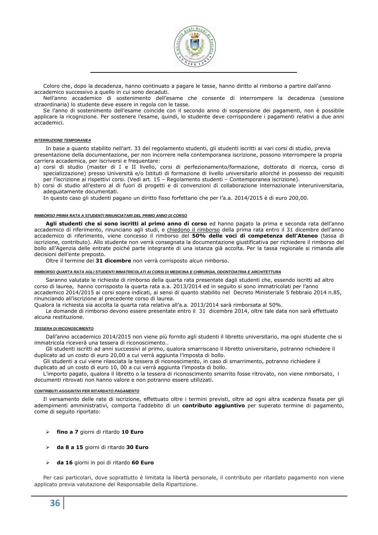

Coloro che, dopo la decadenza, hanno continuato a pagare le tasse, hanno diritto al rimborso a partire dall'anno accademico successivo a quello in cui sono decaduti.

Nell'anno accademico di sostenimento dell'esame che consente di interrompere la decadenza (sessione straordinaria) lo studente deve essere in regola con le tasse.

Se l'anno di sostenimento dell'esame coincide con il secondo anno di sospensione dei pagamenti, non è possibile applicare la ricognizione. Per sostenere l'esame, quindi, lo studente deve corrispondere i pagamenti relativi a due anni accademici.

#### **INTERRUZIONE TEMPORANEA**

In base a quanto stabilito nell'art. 33 del regolamento studenti, gli studenti iscritti ai vari corsi di studio, previa presentazione della documentazione, per non incorrere nella contemporanea iscrizione, possono interrompere la propria carriera accademica, per iscriversi e frequentare:

- a) corsi di studio (master di I e II livello, corsi di perfezionamento/formazione, dottorato di ricerca, corso di specializzazione) presso Università e/o Istituti di formazione di livello universitario allorché in possesso dei requisiti per l'iscrizione ai rispettivi corsi. (Vedi art. 15 – Regolamento studenti – Contemporanea iscrizione).
- b) corsi di studio all'estero al di fuori di progetti e di convenzioni di collaborazione internazionale interuniversitaria, adeguatamente documentati.

In questo caso gli studenti pagano un diritto fisso forfettario che per l'a.a. 2014/2015 è di euro 200,00.

#### **RIMBORSO PRIMA RATA A STUDENTI RINUNCIATARI DEL PRIMO ANNO DI CORSO**

**Agli studenti che si sono iscritti al primo anno di corso** ed hanno pagato la prima e seconda rata dell'anno accademico di riferimento, rinunciano agli studi, e chiedono il rimborso della prima rata entro il 31 dicembre dell'anno accademico di riferimento, viene concesso il rimborso del **50% delle voci di competenza dell'Ateneo** (tassa di iscrizione, contributo). Allo studente non verrà consegnata la documentazione giustificativa per richiedere il rimborso del bollo all'Agenzia delle entrate poiché parte integrante di una istanza già accolta. Per la tassa regionale si rimanda alle decisioni dell'ente preposto.

Oltre il termine del **31 dicembre** non verrà corrisposto alcun rimborso.

#### **RIMBORSO QUARTA RATA AGLI STUDENTI IMMATRICOLATI AI CORSI DI MEDICINA E CHIRURGIA, ODONTOIATRIA E ARCHITETTURA**

Saranno valutate le richieste di rimborso della quarta rata presentate dagli studenti che, essendo iscritti ad altro corso di laurea, hanno corrisposto la quarta rata a.a. 2013/2014 ed in seguito si sono immatricolati per l'anno accademico 2014/2015 ai corsi sopra indicati, ai sensi di quanto stabilito nel Decreto Ministeriale 5 febbraio 2014 n.85, rinunciando all'iscrizione al precedente corso di laurea.

Qualora la richiesta sia accolta la quarta rata relativa all'a.a. 2013/2014 sarà rimborsata al 50%.

Le domande di rimborso devono essere presentate entro il 31 dicembre 2014, oltre tale data non sarà effettuato alcuna restituzione.

#### **TESSERA DI RICONOSCIMENTO**

Dall'anno accademico 2014/2015 non viene più fornito agli studenti il libretto universitario, ma ogni studente che si immatricola riceverà una tessera di riconoscimento..

Gli studenti iscritti ad anni successivi al primo, qualora smarriscano il libretto universitario, potranno richiedere il duplicato ad un costo di euro 20,00 a cui verrà aggiunta l'imposta di bollo.

Gli studenti a cui viene rilasciata la tessera di riconoscimento, in caso di smarrimento, potranno richiedere il duplicato ad un costo di euro 10, 00 a cui verrà aggiunta l'imposta di bollo.

L'importo pagato, qualora il libretto o la tessera di riconoscimento smarrito fosse ritrovato, non viene rimborsato, i documenti ritrovati non hanno valore e non potranno essere utilizzati.

#### **CONTRIBUTI AGGIUNTIVI PER RITARDATO PAGAMENTO**

Il versamento delle rate di iscrizione, effettuato oltre i termini previsti, oltre ad ogni altra scadenza fissata per gli adempimenti amministrativi, comporta l'addebito di un **contributo aggiuntivo** per superato termine di pagamento, come di seguito riportato:

- **fino a 7** giorni di ritardo **10 Euro**
- **da 8 a 15** giorni di ritardo **30 Euro**
- **da 16** giorni in poi di ritardo **60 Euro**

Per casi particolari, dove soprattutto è limitata la libertà personale, il contributo per ritardato pagamento non viene applicato previa valutazione del Responsabile della Ripartizione.